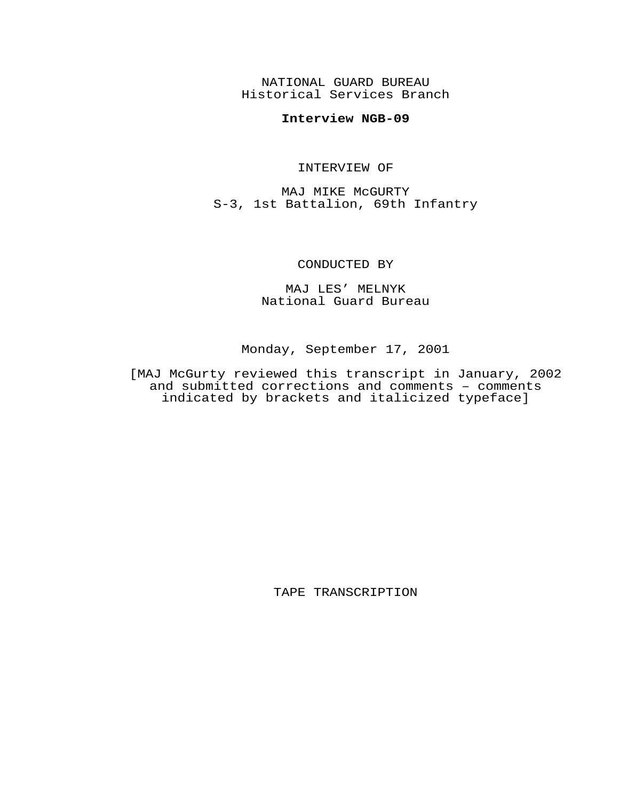NATIONAL GUARD BUREAU Historical Services Branch

## **Interview NGB-09**

## INTERVIEW OF

MAJ MIKE McGURTY S-3, 1st Battalion, 69th Infantry

## CONDUCTED BY

MAJ LES' MELNYK National Guard Bureau

Monday, September 17, 2001

[MAJ McGurty reviewed this transcript in January, 2002 and submitted corrections and comments – comments indicated by brackets and italicized typeface]

TAPE TRANSCRIPTION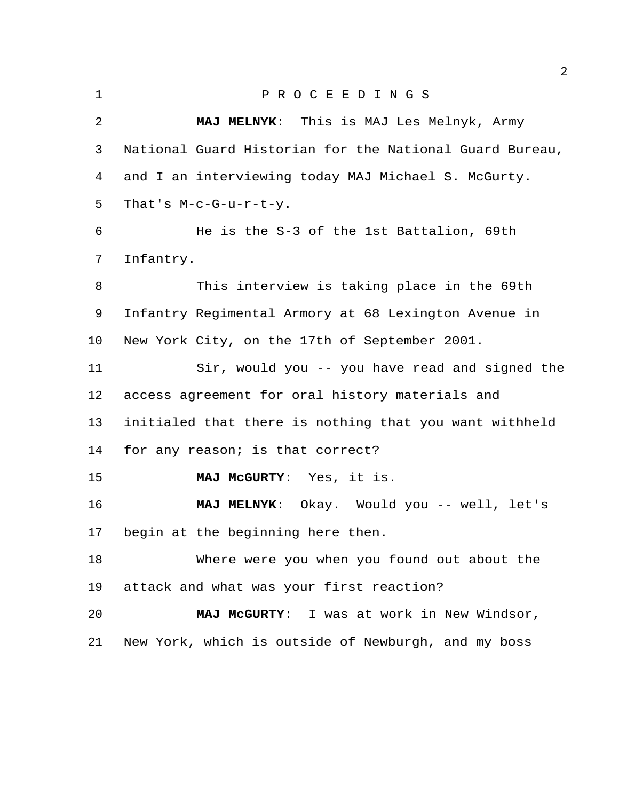| $\mathbf{1}$ | P R O C E E D I N G S                                   |
|--------------|---------------------------------------------------------|
| 2            | MAJ MELNYK: This is MAJ Les Melnyk, Army                |
| 3            | National Guard Historian for the National Guard Bureau, |
| 4            | and I an interviewing today MAJ Michael S. McGurty.     |
| 5            | That's $M-c-G-u-r-t-y$ .                                |
| 6            | He is the S-3 of the 1st Battalion, 69th                |
| 7            | Infantry.                                               |
| 8            | This interview is taking place in the 69th              |
| 9            | Infantry Regimental Armory at 68 Lexington Avenue in    |
| 10           | New York City, on the 17th of September 2001.           |
| 11           | Sir, would you -- you have read and signed the          |
| 12           | access agreement for oral history materials and         |
| 13           | initialed that there is nothing that you want withheld  |
| 14           | for any reason; is that correct?                        |
| 15           | MAJ MCGURTY: Yes, it is.                                |
| 16           | MAJ MELNYK: Okay. Would you -- well, let's              |
| 17           | begin at the beginning here then                        |
| 18           | Where were you when you found out about the             |
| 19           | attack and what was your first reaction?                |
| 20           | MAJ MCGURTY: I was at work in New Windsor,              |
| 21           | New York, which is outside of Newburgh, and my boss     |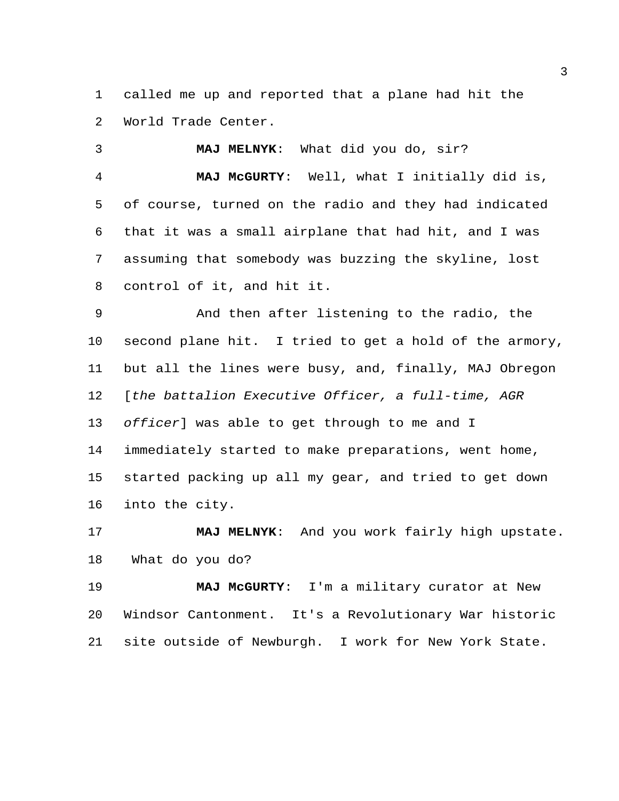called me up and reported that a plane had hit the World Trade Center.

 **MAJ MELNYK**: What did you do, sir? **MAJ McGURTY**: Well, what I initially did is, of course, turned on the radio and they had indicated that it was a small airplane that had hit, and I was assuming that somebody was buzzing the skyline, lost control of it, and hit it.

 And then after listening to the radio, the second plane hit. I tried to get a hold of the armory, but all the lines were busy, and, finally, MAJ Obregon [*the battalion Executive Officer, a full-time, AGR officer*] was able to get through to me and I immediately started to make preparations, went home, started packing up all my gear, and tried to get down into the city.

 **MAJ MELNYK**: And you work fairly high upstate. What do you do?

 **MAJ McGURTY**: I'm a military curator at New Windsor Cantonment. It's a Revolutionary War historic site outside of Newburgh. I work for New York State.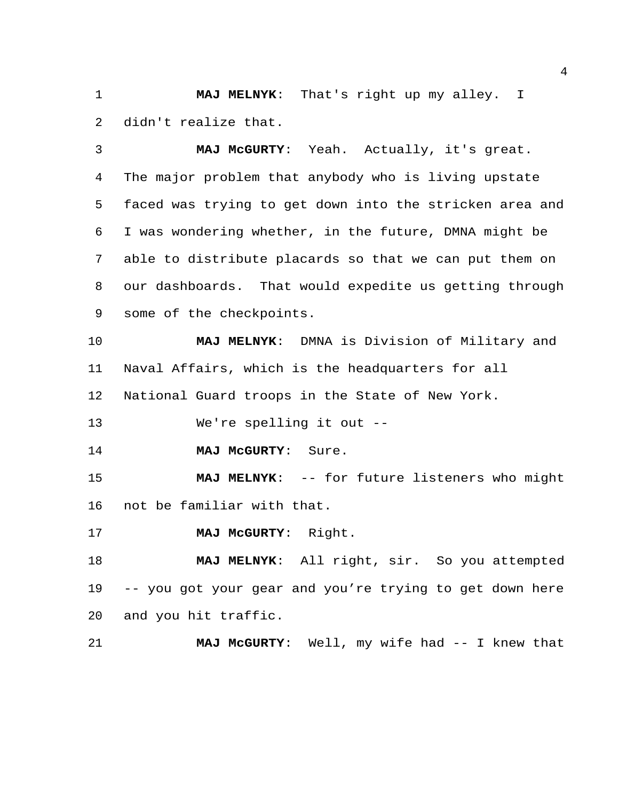**MAJ MELNYK**: That's right up my alley. I didn't realize that.

 **MAJ McGURTY**: Yeah. Actually, it's great. The major problem that anybody who is living upstate faced was trying to get down into the stricken area and I was wondering whether, in the future, DMNA might be able to distribute placards so that we can put them on our dashboards. That would expedite us getting through some of the checkpoints.

 **MAJ MELNYK**: DMNA is Division of Military and Naval Affairs, which is the headquarters for all National Guard troops in the State of New York.

We're spelling it out --

**MAJ McGURTY**: Sure.

 **MAJ MELNYK**: -- for future listeners who might not be familiar with that.

**MAJ McGURTY**: Right.

 **MAJ MELNYK**: All right, sir. So you attempted -- you got your gear and you're trying to get down here and you hit traffic.

**MAJ McGURTY**: Well, my wife had -- I knew that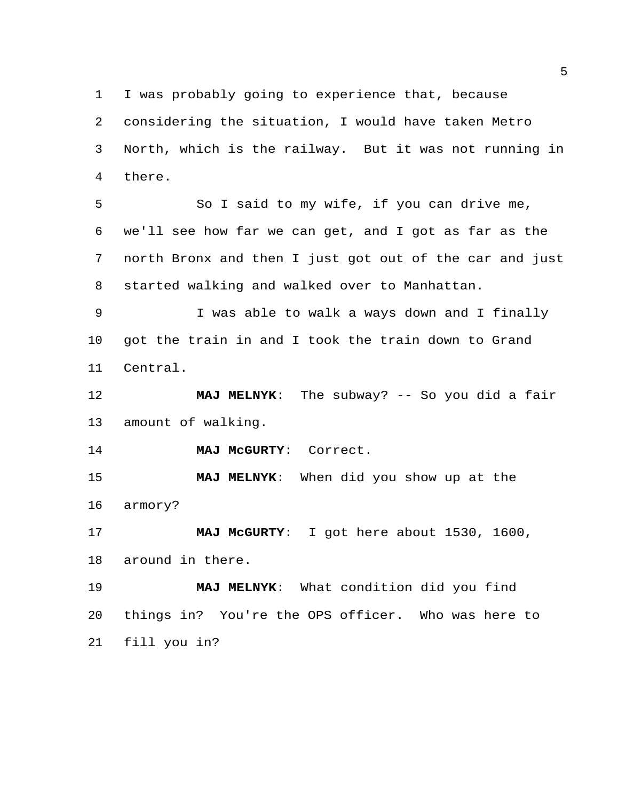I was probably going to experience that, because considering the situation, I would have taken Metro North, which is the railway. But it was not running in

there.

 So I said to my wife, if you can drive me, we'll see how far we can get, and I got as far as the north Bronx and then I just got out of the car and just started walking and walked over to Manhattan.

 I was able to walk a ways down and I finally got the train in and I took the train down to Grand Central.

 **MAJ MELNYK**: The subway? -- So you did a fair amount of walking.

**MAJ McGURTY**: Correct.

 **MAJ MELNYK**: When did you show up at the armory?

 **MAJ McGURTY**: I got here about 1530, 1600, around in there.

 **MAJ MELNYK**: What condition did you find things in? You're the OPS officer. Who was here to fill you in?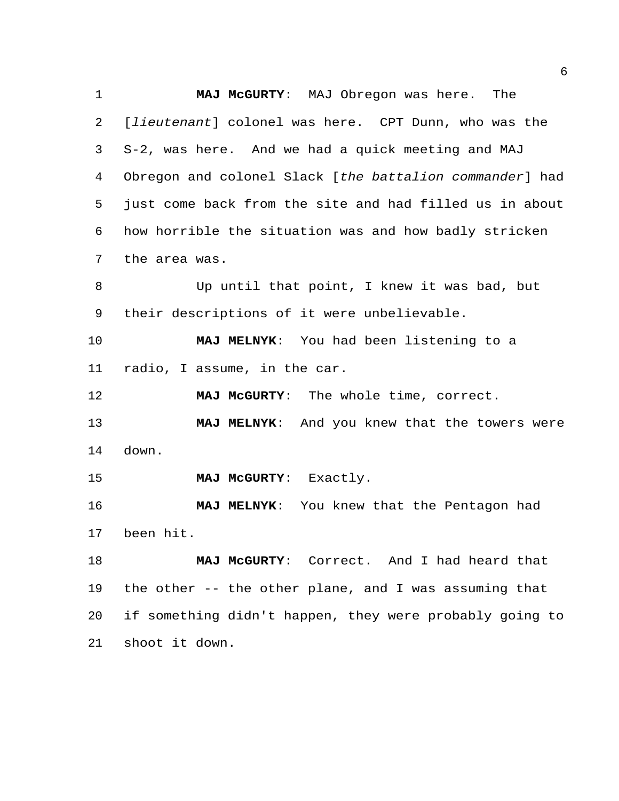**MAJ McGURTY**: MAJ Obregon was here. The [*lieutenant*] colonel was here. CPT Dunn, who was the S-2, was here. And we had a quick meeting and MAJ Obregon and colonel Slack [*the battalion commander*] had just come back from the site and had filled us in about how horrible the situation was and how badly stricken the area was. Up until that point, I knew it was bad, but their descriptions of it were unbelievable. **MAJ MELNYK**: You had been listening to a radio, I assume, in the car. **MAJ McGURTY**: The whole time, correct. **MAJ MELNYK**: And you knew that the towers were down. **MAJ McGURTY**: Exactly. **MAJ MELNYK**: You knew that the Pentagon had been hit. **MAJ McGURTY**: Correct. And I had heard that the other -- the other plane, and I was assuming that if something didn't happen, they were probably going to

shoot it down.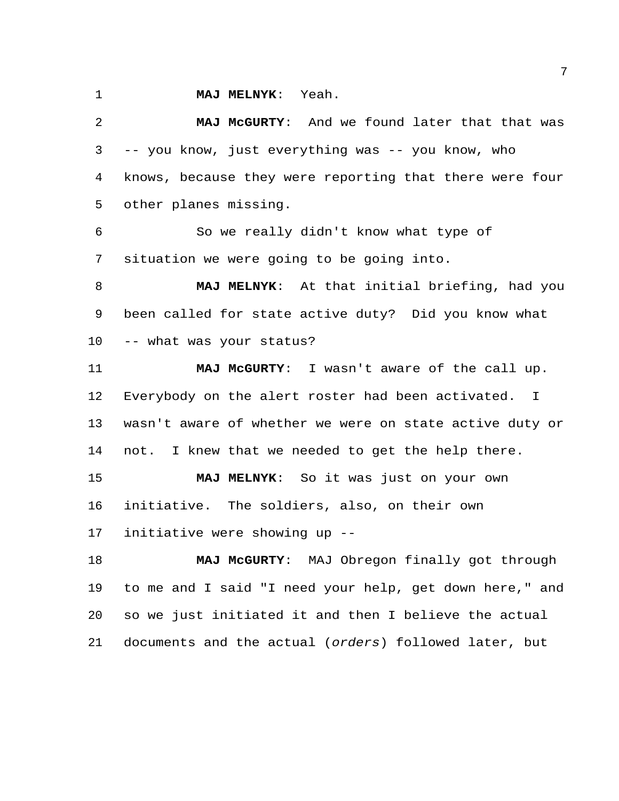**MAJ MELNYK**: Yeah.

 **MAJ McGURTY**: And we found later that that was -- you know, just everything was -- you know, who knows, because they were reporting that there were four other planes missing. So we really didn't know what type of situation we were going to be going into. **MAJ MELNYK**: At that initial briefing, had you been called for state active duty? Did you know what -- what was your status? **MAJ McGURTY**: I wasn't aware of the call up. Everybody on the alert roster had been activated. I wasn't aware of whether we were on state active duty or

not. I knew that we needed to get the help there.

 **MAJ MELNYK**: So it was just on your own initiative. The soldiers, also, on their own initiative were showing up --

 **MAJ McGURTY**: MAJ Obregon finally got through to me and I said "I need your help, get down here," and so we just initiated it and then I believe the actual documents and the actual (*orders*) followed later, but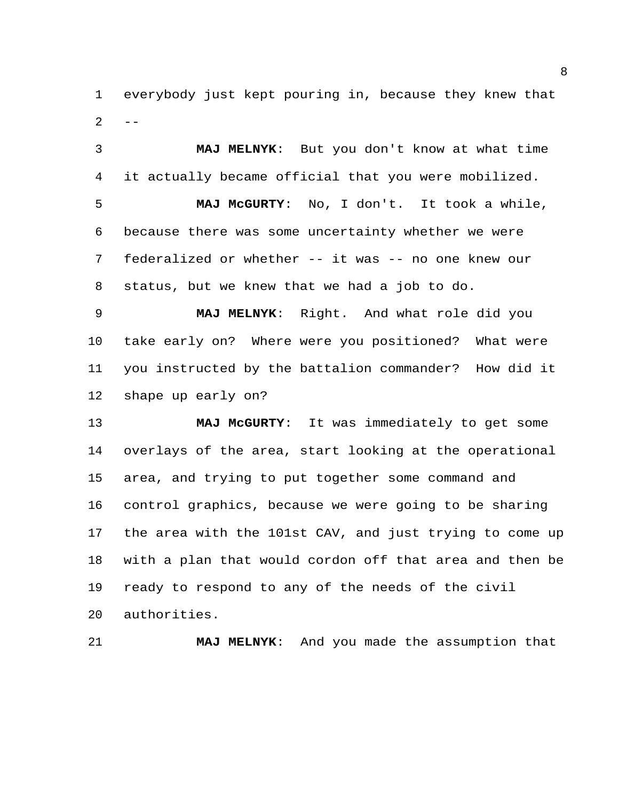everybody just kept pouring in, because they knew that  $2 - -$ 

 **MAJ MELNYK**: But you don't know at what time it actually became official that you were mobilized. **MAJ McGURTY**: No, I don't. It took a while, because there was some uncertainty whether we were federalized or whether -- it was -- no one knew our status, but we knew that we had a job to do.

 **MAJ MELNYK**: Right. And what role did you take early on? Where were you positioned? What were you instructed by the battalion commander? How did it shape up early on?

 **MAJ McGURTY**: It was immediately to get some overlays of the area, start looking at the operational area, and trying to put together some command and control graphics, because we were going to be sharing the area with the 101st CAV, and just trying to come up with a plan that would cordon off that area and then be ready to respond to any of the needs of the civil authorities.

**MAJ MELNYK**: And you made the assumption that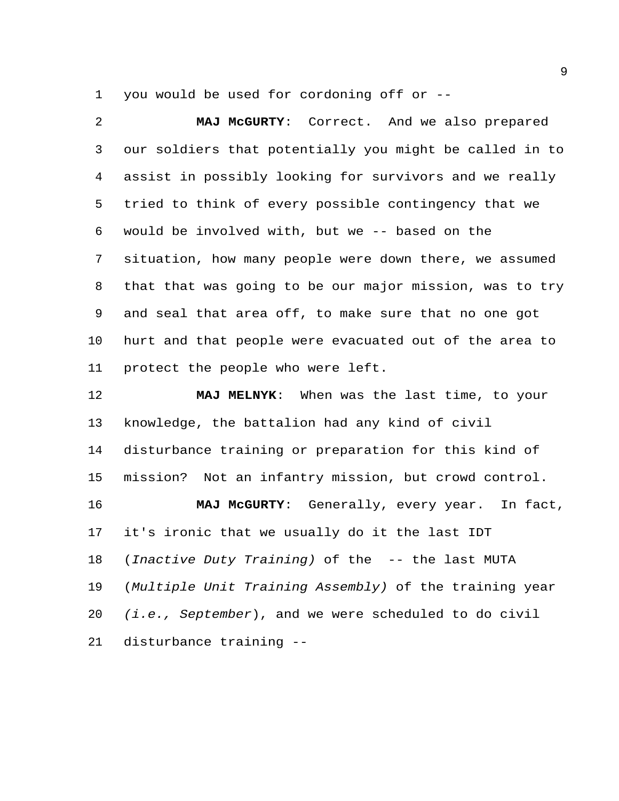you would be used for cordoning off or --

 **MAJ McGURTY**: Correct. And we also prepared our soldiers that potentially you might be called in to assist in possibly looking for survivors and we really tried to think of every possible contingency that we would be involved with, but we -- based on the situation, how many people were down there, we assumed that that was going to be our major mission, was to try and seal that area off, to make sure that no one got hurt and that people were evacuated out of the area to protect the people who were left. **MAJ MELNYK**: When was the last time, to your knowledge, the battalion had any kind of civil disturbance training or preparation for this kind of mission? Not an infantry mission, but crowd control. **MAJ McGURTY**: Generally, every year. In fact, it's ironic that we usually do it the last IDT (*Inactive Duty Training)* of the -- the last MUTA (*Multiple Unit Training Assembly)* of the training year *(i.e., September*), and we were scheduled to do civil

disturbance training --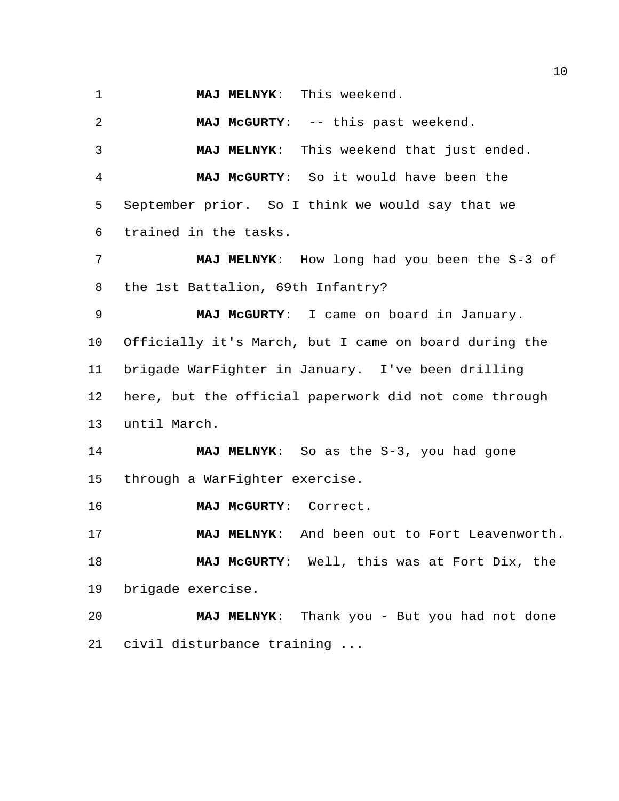**MAJ MELNYK**: This weekend.

 **MAJ McGURTY**: -- this past weekend. **MAJ MELNYK**: This weekend that just ended. **MAJ McGURTY**: So it would have been the September prior. So I think we would say that we trained in the tasks. **MAJ MELNYK**: How long had you been the S-3 of the 1st Battalion, 69th Infantry? **MAJ McGURTY**: I came on board in January. Officially it's March, but I came on board during the brigade WarFighter in January. I've been drilling here, but the official paperwork did not come through until March. **MAJ MELNYK**: So as the S-3, you had gone through a WarFighter exercise. **MAJ McGURTY**: Correct. **MAJ MELNYK**: And been out to Fort Leavenworth. **MAJ McGURTY**: Well, this was at Fort Dix, the brigade exercise. **MAJ MELNYK**: Thank you - But you had not done civil disturbance training ...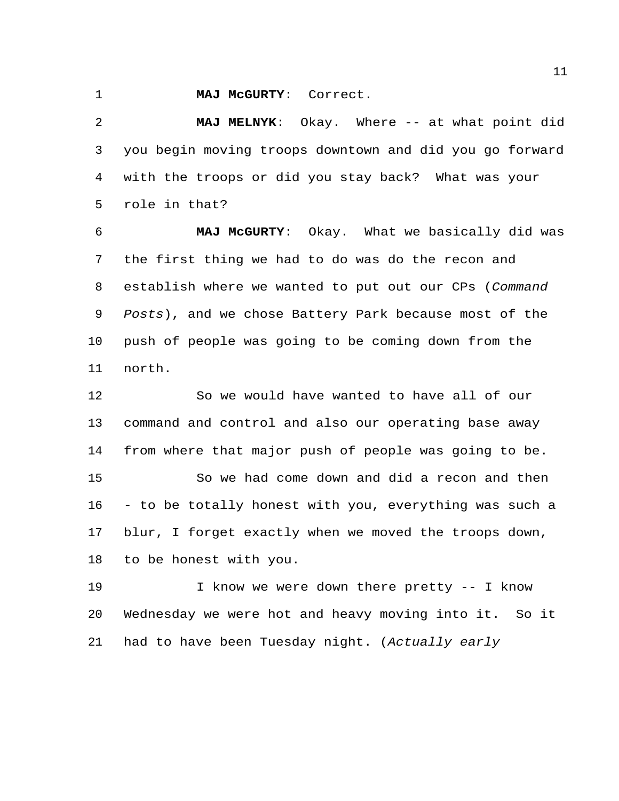**MAJ McGURTY**: Correct.

 **MAJ MELNYK**: Okay. Where -- at what point did you begin moving troops downtown and did you go forward with the troops or did you stay back? What was your role in that?

 **MAJ McGURTY**: Okay. What we basically did was the first thing we had to do was do the recon and establish where we wanted to put out our CPs (*Command Posts*), and we chose Battery Park because most of the push of people was going to be coming down from the north.

 So we would have wanted to have all of our command and control and also our operating base away from where that major push of people was going to be. So we had come down and did a recon and then - to be totally honest with you, everything was such a blur, I forget exactly when we moved the troops down, to be honest with you.

19 I know we were down there pretty -- I know Wednesday we were hot and heavy moving into it. So it had to have been Tuesday night. (*Actually early*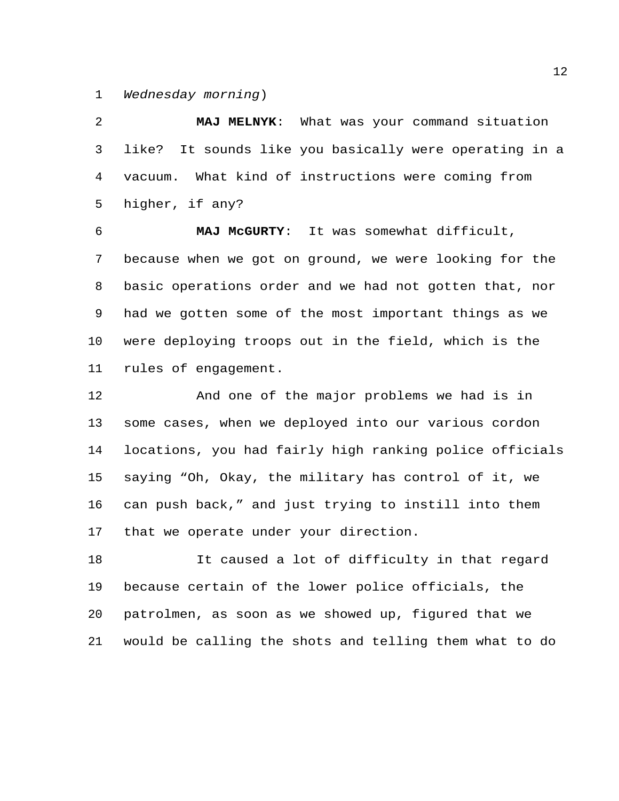*Wednesday morning*)

 **MAJ MELNYK**: What was your command situation like? It sounds like you basically were operating in a vacuum. What kind of instructions were coming from higher, if any?

 **MAJ McGURTY**: It was somewhat difficult, because when we got on ground, we were looking for the basic operations order and we had not gotten that, nor had we gotten some of the most important things as we were deploying troops out in the field, which is the rules of engagement.

 And one of the major problems we had is in some cases, when we deployed into our various cordon locations, you had fairly high ranking police officials saying "Oh, Okay, the military has control of it, we can push back," and just trying to instill into them that we operate under your direction.

 It caused a lot of difficulty in that regard because certain of the lower police officials, the patrolmen, as soon as we showed up, figured that we would be calling the shots and telling them what to do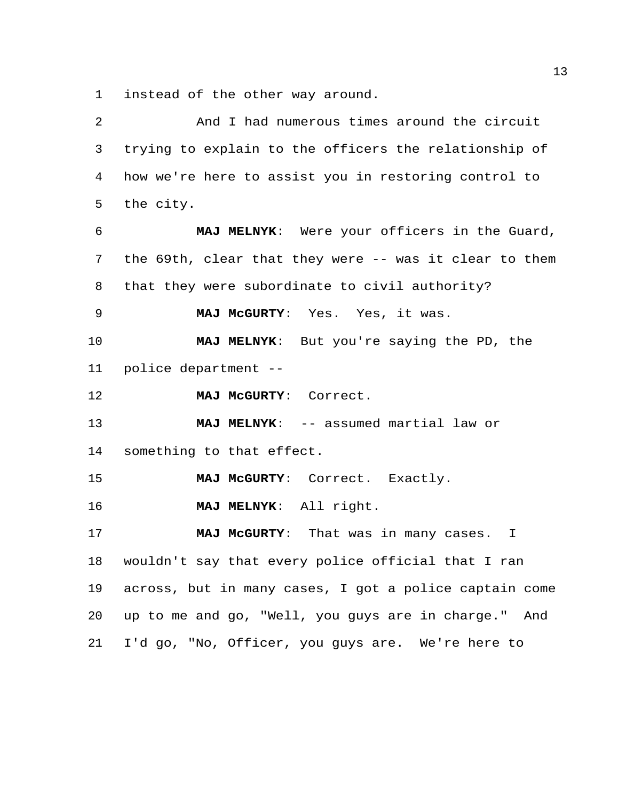instead of the other way around.

| 2              | And I had numerous times around the circuit            |
|----------------|--------------------------------------------------------|
| 3              | trying to explain to the officers the relationship of  |
| $\overline{4}$ | how we're here to assist you in restoring control to   |
| 5              | the city.                                              |
| 6              | MAJ MELNYK: Were your officers in the Guard,           |
| 7              | the 69th, clear that they were -- was it clear to them |
| 8              | that they were subordinate to civil authority?         |
| 9              | MAJ MCGURTY: Yes. Yes, it was.                         |
| 10             | MAJ MELNYK: But you're saying the PD, the              |
| 11             | police department --                                   |
| 12             | MAJ MCGURTY: Correct.                                  |
| 13             | MAJ MELNYK: -- assumed martial law or                  |
| 14             | something to that effect.                              |
| 15             | MAJ McGURTY: Correct. Exactly.                         |
| 16             | MAJ MELNYK: All right.                                 |
| 17             | MAJ McGURTY: That was in many cases. I                 |
| 18             | wouldn't say that every police official that I ran     |
| 19             | across, but in many cases, I got a police captain come |
| 20             | up to me and go, "Well, you guys are in charge." And   |
| 21             | I'd go, "No, Officer, you guys are. We're here to      |
|                |                                                        |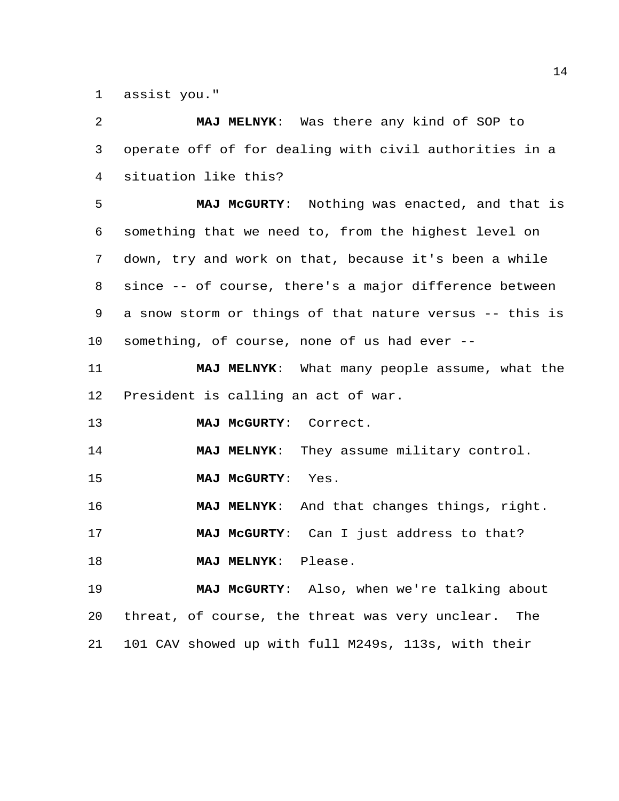assist you."

 **MAJ MELNYK**: Was there any kind of SOP to operate off of for dealing with civil authorities in a situation like this?

 **MAJ McGURTY**: Nothing was enacted, and that is something that we need to, from the highest level on down, try and work on that, because it's been a while since -- of course, there's a major difference between a snow storm or things of that nature versus -- this is something, of course, none of us had ever --

 **MAJ MELNYK**: What many people assume, what the President is calling an act of war.

**MAJ McGURTY**: Correct.

**MAJ MELNYK**: They assume military control.

**MAJ McGURTY**: Yes.

**MAJ MELNYK**: And that changes things, right.

**MAJ McGURTY**: Can I just address to that?

**MAJ MELNYK**: Please.

 **MAJ McGURTY**: Also, when we're talking about threat, of course, the threat was very unclear. The 101 CAV showed up with full M249s, 113s, with their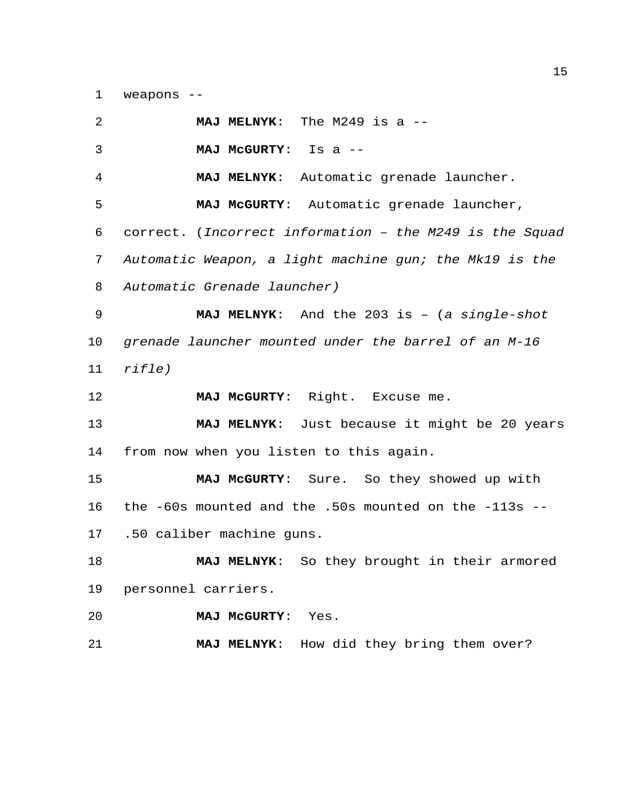weapons --

| 2  | MAJ MELNYK: The M249 is a --                              |
|----|-----------------------------------------------------------|
| 3  | <b>MAJ MCGURTY:</b><br>Is a $--$                          |
| 4  | MAJ MELNYK: Automatic grenade launcher.                   |
| 5  | MAJ McGURTY: Automatic grenade launcher,                  |
| 6  | correct. (Incorrect information - the M249 is the Squad   |
| 7  | Automatic Weapon, a light machine gun; the Mk19 is the    |
| 8  | Automatic Grenade launcher)                               |
| 9  | <b>MAJ MELNYK:</b> And the 203 is $-$ (a single-shot      |
| 10 | grenade launcher mounted under the barrel of an M-16      |
| 11 | rifle)                                                    |
|    |                                                           |
| 12 | MAJ MCGURTY: Right. Excuse me.                            |
| 13 | MAJ MELNYK: Just because it might be 20 years             |
| 14 | from now when you listen to this again.                   |
| 15 | MAJ McGURTY: Sure. So they showed up with                 |
| 16 | the $-60s$ mounted and the .50s mounted on the $-113s$ -- |
| 17 | .50 caliber machine guns.                                 |
| 18 | So they brought in their armored<br><b>MAJ MELNYK:</b>    |
| 19 | personnel carriers.                                       |
| 20 | MAJ MCGURTY:<br>Yes.                                      |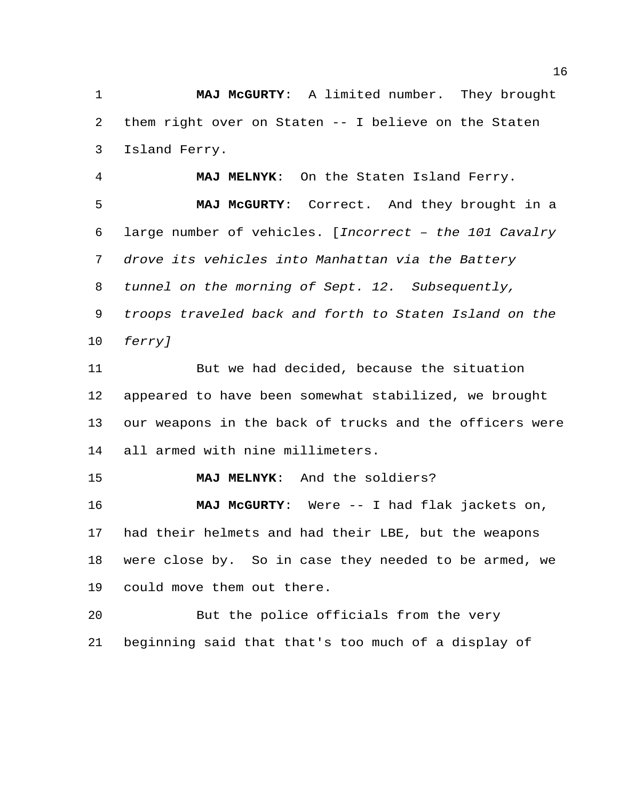**MAJ McGURTY**: A limited number. They brought them right over on Staten -- I believe on the Staten Island Ferry.

 **MAJ MELNYK**: On the Staten Island Ferry. **MAJ McGURTY**: Correct. And they brought in a large number of vehicles. [*Incorrect – the 101 Cavalry drove its vehicles into Manhattan via the Battery tunnel on the morning of Sept. 12. Subsequently, troops traveled back and forth to Staten Island on the ferry]*

 But we had decided, because the situation appeared to have been somewhat stabilized, we brought our weapons in the back of trucks and the officers were all armed with nine millimeters.

**MAJ MELNYK**: And the soldiers?

 **MAJ McGURTY**: Were -- I had flak jackets on, had their helmets and had their LBE, but the weapons were close by. So in case they needed to be armed, we could move them out there.

 But the police officials from the very beginning said that that's too much of a display of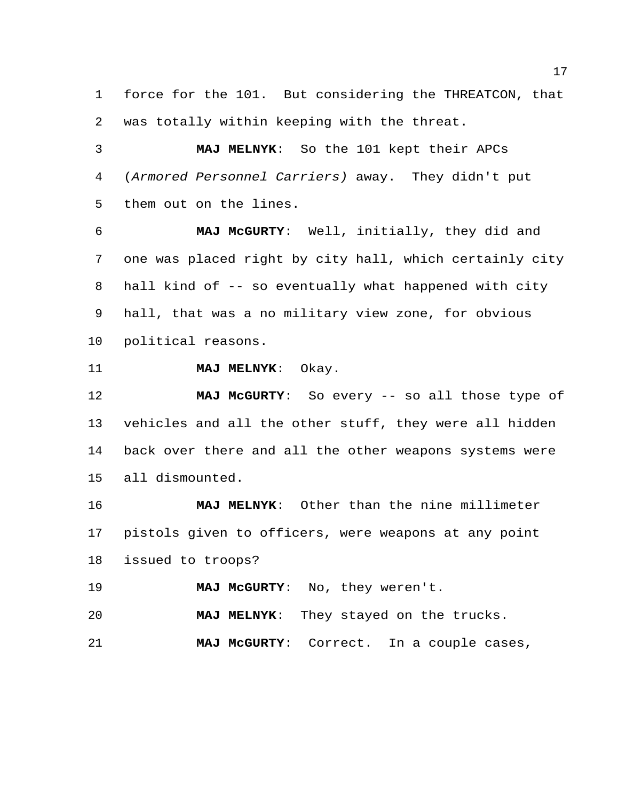force for the 101. But considering the THREATCON, that was totally within keeping with the threat.

 **MAJ MELNYK**: So the 101 kept their APCs (*Armored Personnel Carriers)* away. They didn't put them out on the lines.

 **MAJ McGURTY**: Well, initially, they did and one was placed right by city hall, which certainly city hall kind of -- so eventually what happened with city hall, that was a no military view zone, for obvious political reasons.

**MAJ MELNYK**: Okay.

 **MAJ McGURTY**: So every -- so all those type of vehicles and all the other stuff, they were all hidden back over there and all the other weapons systems were all dismounted.

 **MAJ MELNYK**: Other than the nine millimeter pistols given to officers, were weapons at any point issued to troops?

**MAJ McGURTY**: No, they weren't.

**MAJ MELNYK**: They stayed on the trucks.

**MAJ McGURTY**: Correct. In a couple cases,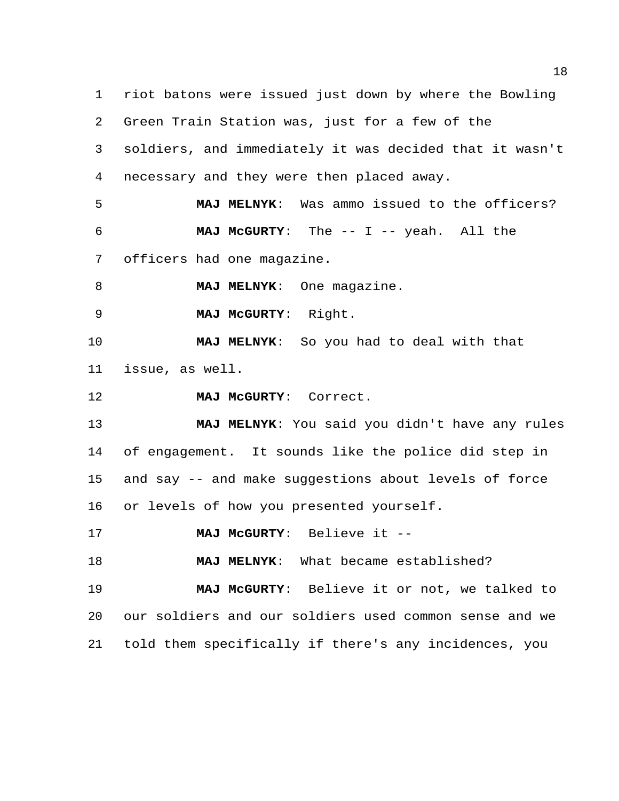riot batons were issued just down by where the Bowling Green Train Station was, just for a few of the soldiers, and immediately it was decided that it wasn't necessary and they were then placed away. **MAJ MELNYK**: Was ammo issued to the officers? **MAJ McGURTY**: The -- I -- yeah. All the officers had one magazine. **MAJ MELNYK:** One magazine. **MAJ McGURTY**: Right. **MAJ MELNYK**: So you had to deal with that issue, as well. **MAJ McGURTY**: Correct. **MAJ MELNYK**: You said you didn't have any rules of engagement. It sounds like the police did step in and say -- and make suggestions about levels of force or levels of how you presented yourself. **MAJ McGURTY**: Believe it -- **MAJ MELNYK**: What became established? **MAJ McGURTY**: Believe it or not, we talked to our soldiers and our soldiers used common sense and we

told them specifically if there's any incidences, you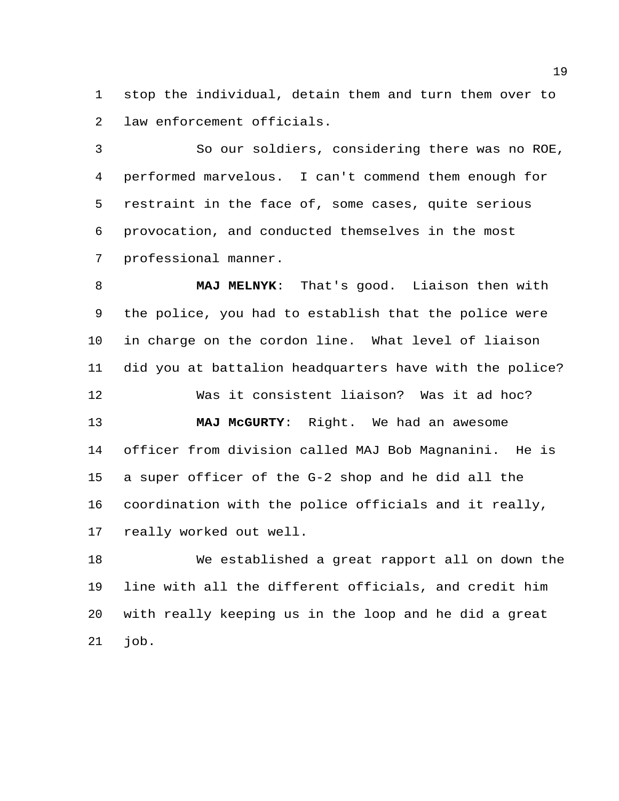stop the individual, detain them and turn them over to law enforcement officials.

 So our soldiers, considering there was no ROE, performed marvelous. I can't commend them enough for restraint in the face of, some cases, quite serious provocation, and conducted themselves in the most professional manner.

 **MAJ MELNYK**: That's good. Liaison then with the police, you had to establish that the police were in charge on the cordon line. What level of liaison did you at battalion headquarters have with the police? Was it consistent liaison? Was it ad hoc? **MAJ McGURTY**: Right. We had an awesome officer from division called MAJ Bob Magnanini. He is a super officer of the G-2 shop and he did all the coordination with the police officials and it really,

really worked out well.

 We established a great rapport all on down the line with all the different officials, and credit him with really keeping us in the loop and he did a great job.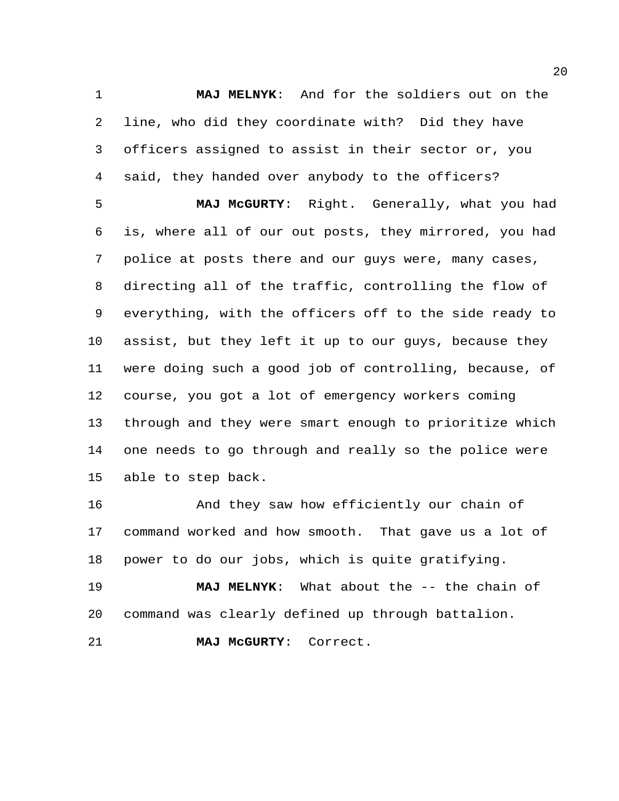**MAJ MELNYK**: And for the soldiers out on the line, who did they coordinate with? Did they have officers assigned to assist in their sector or, you said, they handed over anybody to the officers?

 **MAJ McGURTY**: Right. Generally, what you had is, where all of our out posts, they mirrored, you had police at posts there and our guys were, many cases, directing all of the traffic, controlling the flow of everything, with the officers off to the side ready to assist, but they left it up to our guys, because they were doing such a good job of controlling, because, of course, you got a lot of emergency workers coming through and they were smart enough to prioritize which one needs to go through and really so the police were able to step back.

**And they saw how efficiently our chain of**  command worked and how smooth. That gave us a lot of power to do our jobs, which is quite gratifying.

 **MAJ MELNYK**: What about the -- the chain of command was clearly defined up through battalion.

**MAJ McGURTY**: Correct.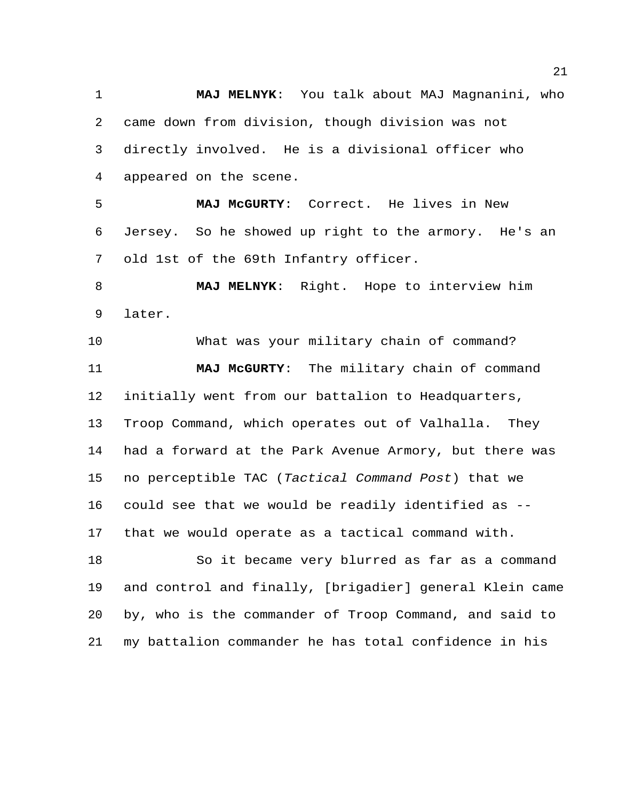**MAJ MELNYK**: You talk about MAJ Magnanini, who came down from division, though division was not directly involved. He is a divisional officer who appeared on the scene.

 **MAJ McGURTY**: Correct. He lives in New Jersey. So he showed up right to the armory. He's an old 1st of the 69th Infantry officer.

 **MAJ MELNYK**: Right. Hope to interview him later.

 What was your military chain of command? **MAJ McGURTY**: The military chain of command initially went from our battalion to Headquarters, Troop Command, which operates out of Valhalla. They had a forward at the Park Avenue Armory, but there was no perceptible TAC (*Tactical Command Post*) that we could see that we would be readily identified as -- that we would operate as a tactical command with.

 So it became very blurred as far as a command and control and finally, [brigadier] general Klein came by, who is the commander of Troop Command, and said to my battalion commander he has total confidence in his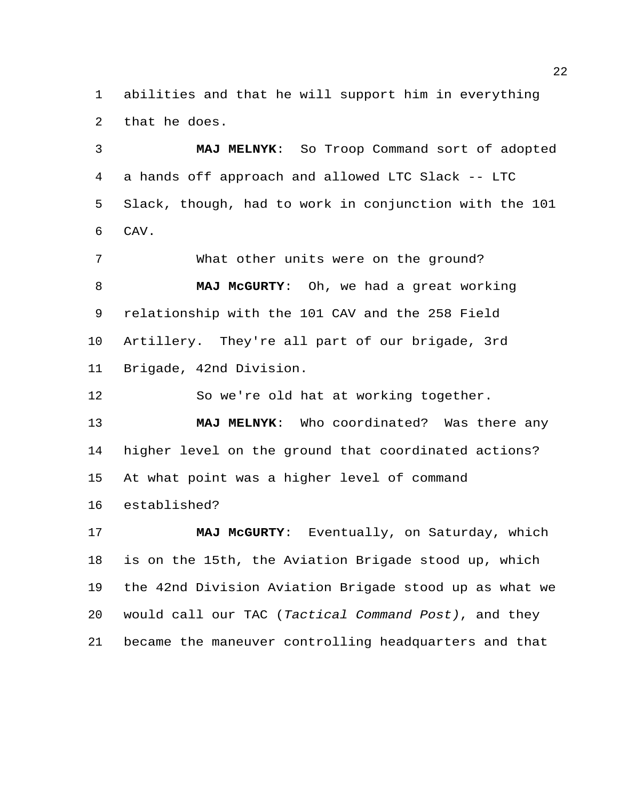abilities and that he will support him in everything that he does.

 **MAJ MELNYK**: So Troop Command sort of adopted a hands off approach and allowed LTC Slack -- LTC Slack, though, had to work in conjunction with the 101 CAV.

 What other units were on the ground? **MAJ McGURTY**: Oh, we had a great working relationship with the 101 CAV and the 258 Field Artillery. They're all part of our brigade, 3rd Brigade, 42nd Division.

So we're old hat at working together.

 **MAJ MELNYK**: Who coordinated? Was there any higher level on the ground that coordinated actions? At what point was a higher level of command established?

 **MAJ McGURTY**: Eventually, on Saturday, which is on the 15th, the Aviation Brigade stood up, which the 42nd Division Aviation Brigade stood up as what we would call our TAC (*Tactical Command Post)*, and they became the maneuver controlling headquarters and that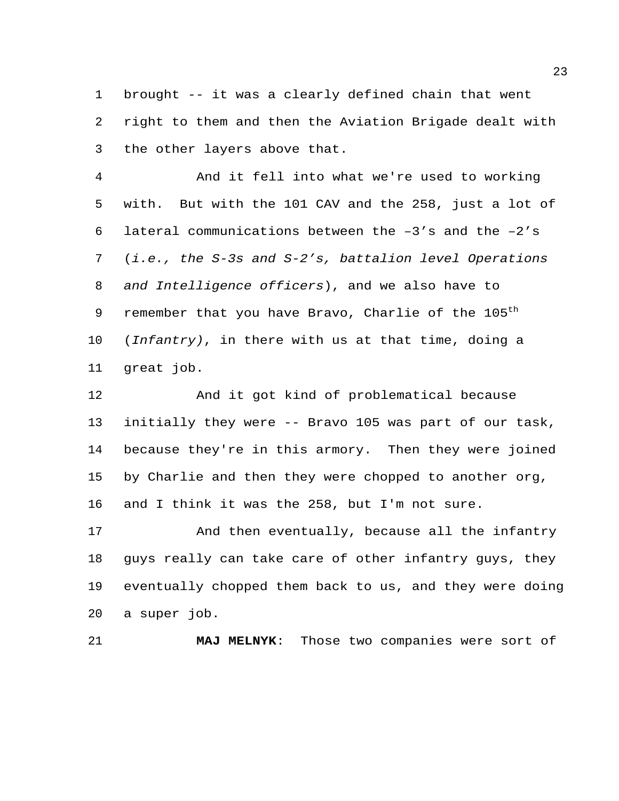brought -- it was a clearly defined chain that went right to them and then the Aviation Brigade dealt with the other layers above that.

 And it fell into what we're used to working with. But with the 101 CAV and the 258, just a lot of 6 lateral communications between the  $-3'$ s and the  $-2'$ s (*i.e., the S-3s and S-2's, battalion level Operations and Intelligence officers*), and we also have to 9 remember that you have Bravo, Charlie of the  $105<sup>th</sup>$  (*Infantry)*, in there with us at that time, doing a great job.

 And it got kind of problematical because initially they were -- Bravo 105 was part of our task, because they're in this armory. Then they were joined by Charlie and then they were chopped to another org, and I think it was the 258, but I'm not sure.

 And then eventually, because all the infantry guys really can take care of other infantry guys, they eventually chopped them back to us, and they were doing a super job.

**MAJ MELNYK**: Those two companies were sort of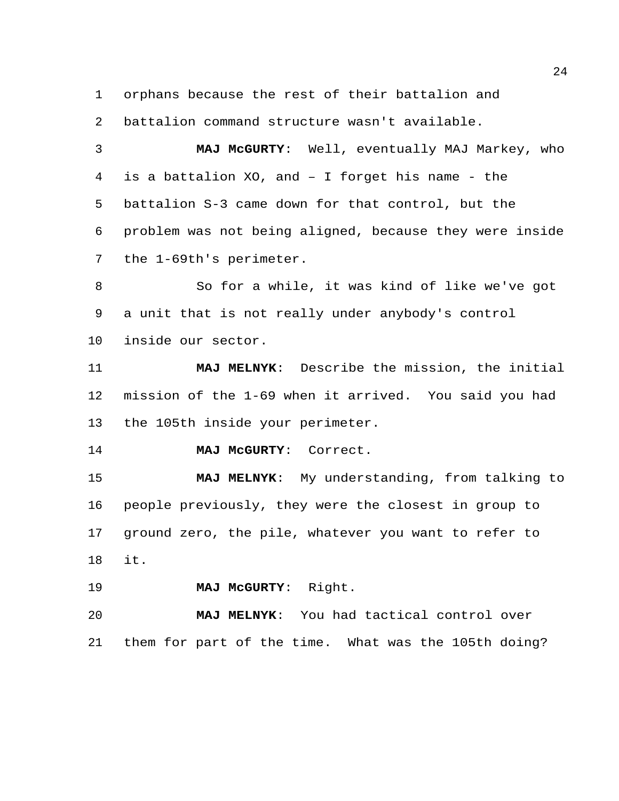orphans because the rest of their battalion and

battalion command structure wasn't available.

 **MAJ McGURTY**: Well, eventually MAJ Markey, who is a battalion XO, and – I forget his name - the battalion S-3 came down for that control, but the problem was not being aligned, because they were inside the 1-69th's perimeter.

 So for a while, it was kind of like we've got a unit that is not really under anybody's control inside our sector.

 **MAJ MELNYK**: Describe the mission, the initial mission of the 1-69 when it arrived. You said you had the 105th inside your perimeter.

**MAJ McGURTY**: Correct.

 **MAJ MELNYK**: My understanding, from talking to people previously, they were the closest in group to ground zero, the pile, whatever you want to refer to it.

**MAJ McGURTY**: Right.

 **MAJ MELNYK**: You had tactical control over them for part of the time. What was the 105th doing?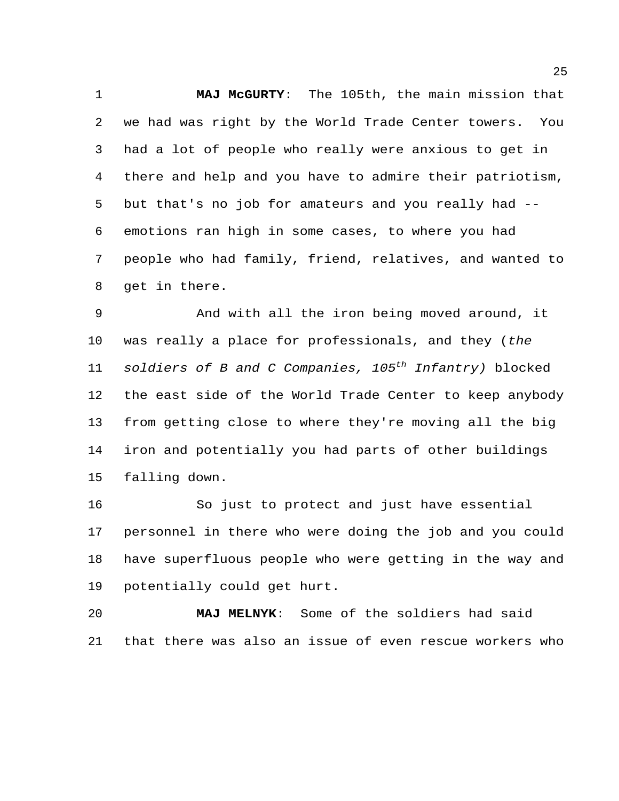**MAJ McGURTY**: The 105th, the main mission that we had was right by the World Trade Center towers. You had a lot of people who really were anxious to get in there and help and you have to admire their patriotism, but that's no job for amateurs and you really had -- emotions ran high in some cases, to where you had people who had family, friend, relatives, and wanted to get in there.

 And with all the iron being moved around, it was really a place for professionals, and they (*the soldiers of B and C Companies, 105<sup>th</sup> Infantry*) blocked the east side of the World Trade Center to keep anybody from getting close to where they're moving all the big iron and potentially you had parts of other buildings falling down.

 So just to protect and just have essential personnel in there who were doing the job and you could have superfluous people who were getting in the way and potentially could get hurt.

 **MAJ MELNYK**: Some of the soldiers had said that there was also an issue of even rescue workers who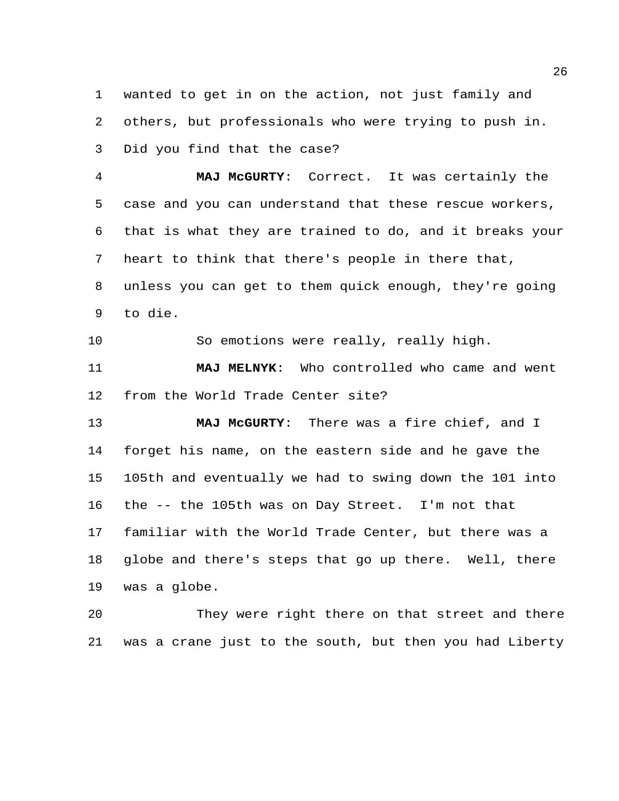wanted to get in on the action, not just family and others, but professionals who were trying to push in. Did you find that the case?

 **MAJ McGURTY**: Correct. It was certainly the case and you can understand that these rescue workers, that is what they are trained to do, and it breaks your heart to think that there's people in there that, unless you can get to them quick enough, they're going to die.

So emotions were really, really high.

 **MAJ MELNYK**: Who controlled who came and went from the World Trade Center site?

 **MAJ McGURTY**: There was a fire chief, and I forget his name, on the eastern side and he gave the 105th and eventually we had to swing down the 101 into the -- the 105th was on Day Street. I'm not that familiar with the World Trade Center, but there was a globe and there's steps that go up there. Well, there was a globe.

 They were right there on that street and there was a crane just to the south, but then you had Liberty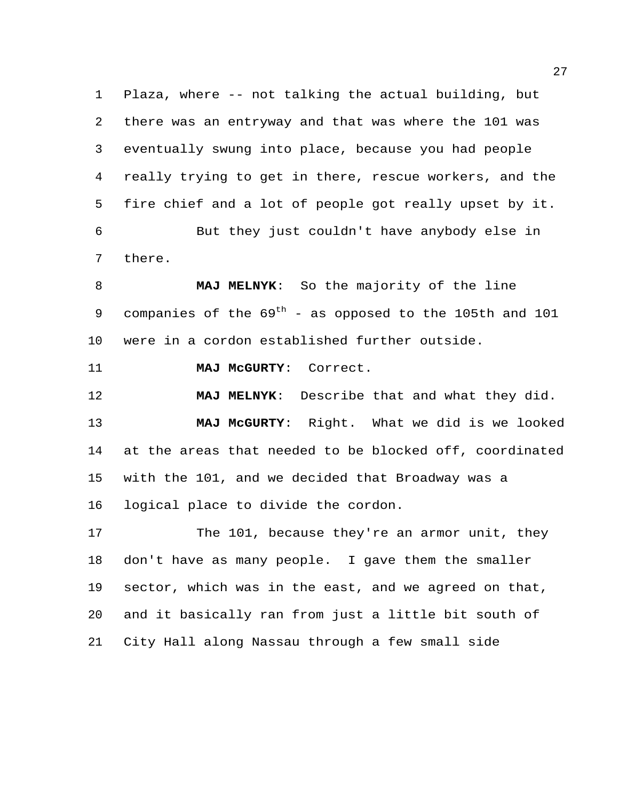Plaza, where -- not talking the actual building, but there was an entryway and that was where the 101 was eventually swung into place, because you had people really trying to get in there, rescue workers, and the fire chief and a lot of people got really upset by it. But they just couldn't have anybody else in there.

 **MAJ MELNYK**: So the majority of the line 9 companies of the  $69<sup>th</sup>$  - as opposed to the 105th and 101 were in a cordon established further outside.

**MAJ McGURTY**: Correct.

 **MAJ MELNYK**: Describe that and what they did. **MAJ McGURTY**: Right. What we did is we looked at the areas that needed to be blocked off, coordinated with the 101, and we decided that Broadway was a logical place to divide the cordon.

17 The 101, because they're an armor unit, they don't have as many people. I gave them the smaller sector, which was in the east, and we agreed on that, and it basically ran from just a little bit south of City Hall along Nassau through a few small side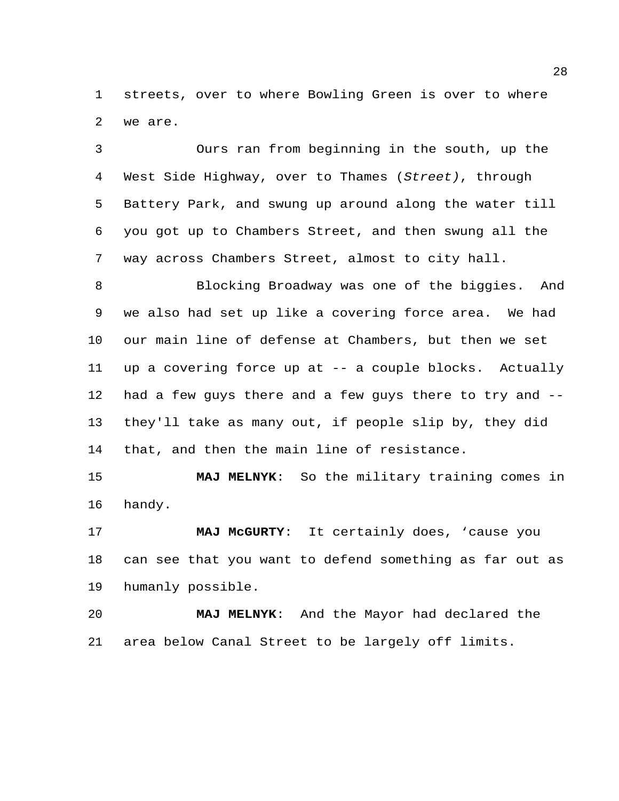streets, over to where Bowling Green is over to where we are.

 Ours ran from beginning in the south, up the West Side Highway, over to Thames (*Street)*, through Battery Park, and swung up around along the water till you got up to Chambers Street, and then swung all the way across Chambers Street, almost to city hall.

 Blocking Broadway was one of the biggies. And we also had set up like a covering force area. We had our main line of defense at Chambers, but then we set up a covering force up at -- a couple blocks. Actually had a few guys there and a few guys there to try and -- they'll take as many out, if people slip by, they did that, and then the main line of resistance.

 **MAJ MELNYK**: So the military training comes in handy.

 **MAJ McGURTY**: It certainly does, 'cause you can see that you want to defend something as far out as humanly possible.

 **MAJ MELNYK**: And the Mayor had declared the area below Canal Street to be largely off limits.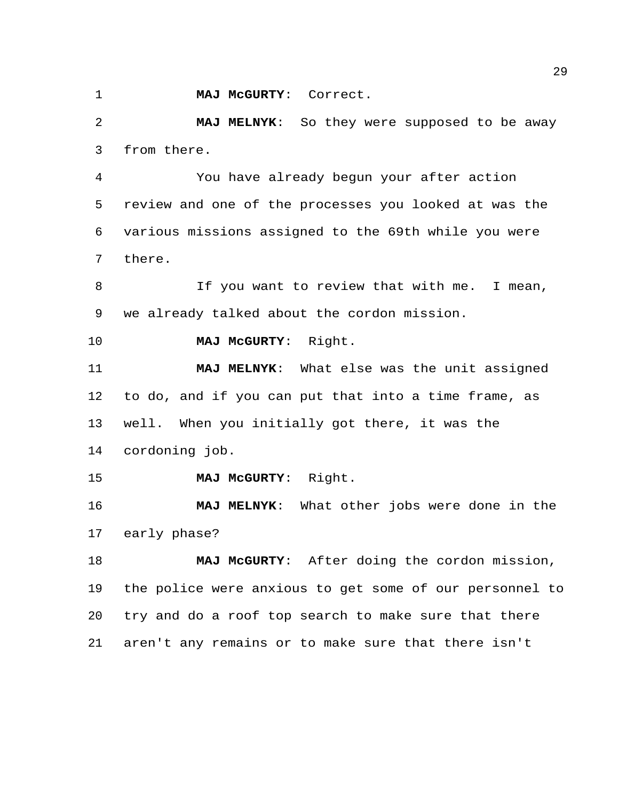**MAJ McGURTY**: Correct.

 **MAJ MELNYK**: So they were supposed to be away from there.

 You have already begun your after action review and one of the processes you looked at was the various missions assigned to the 69th while you were there.

8 If you want to review that with me. I mean, we already talked about the cordon mission.

**MAJ McGURTY**: Right.

 **MAJ MELNYK**: What else was the unit assigned to do, and if you can put that into a time frame, as well. When you initially got there, it was the cordoning job.

**MAJ McGURTY**: Right.

 **MAJ MELNYK**: What other jobs were done in the early phase?

 **MAJ McGURTY**: After doing the cordon mission, the police were anxious to get some of our personnel to try and do a roof top search to make sure that there aren't any remains or to make sure that there isn't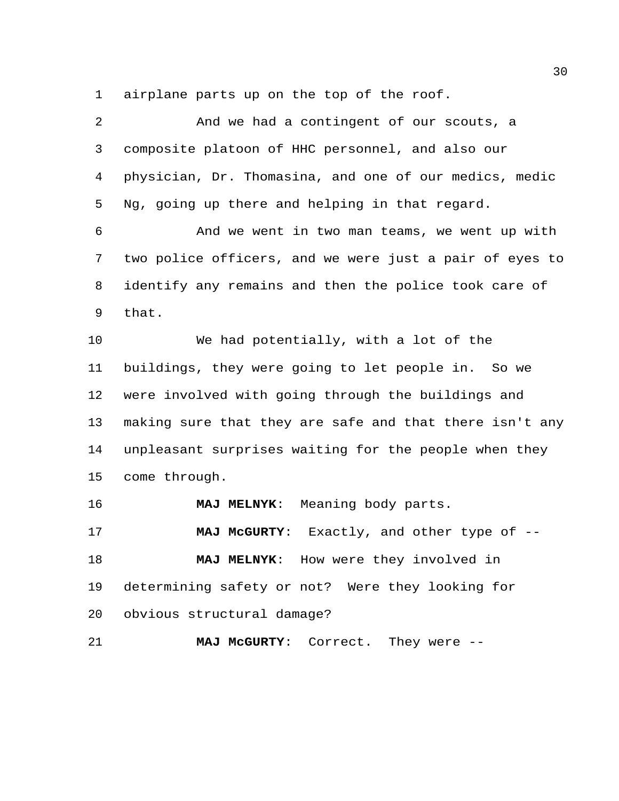airplane parts up on the top of the roof.

| $\overline{2}$ | And we had a contingent of our scouts, a                |
|----------------|---------------------------------------------------------|
| 3              | composite platoon of HHC personnel, and also our        |
| 4              | physician, Dr. Thomasina, and one of our medics, medic  |
| 5              | Ng, going up there and helping in that regard.          |
| 6              | And we went in two man teams, we went up with           |
| 7              | two police officers, and we were just a pair of eyes to |
| 8              | identify any remains and then the police took care of   |
| 9              | that.                                                   |
| 10             | We had potentially, with a lot of the                   |
| 11             | buildings, they were going to let people in. So we      |
| 12             | were involved with going through the buildings and      |
| 13             | making sure that they are safe and that there isn't any |
| 14             | unpleasant surprises waiting for the people when they   |
| 15             | come through.                                           |
| 16             | Meaning body parts.<br><b>MAJ MELNYK:</b>               |
| 17             | Exactly, and other type of $-$ -<br><b>MAJ MCGURTY:</b> |
| 18             | How were they involved in<br><b>MAJ MELNYK:</b>         |
| 19             | determining safety or not? Were they looking for        |
| 20             | obvious structural damage?                              |
| 21             | MAJ MCGURTY:<br>Correct.<br>They were $--$              |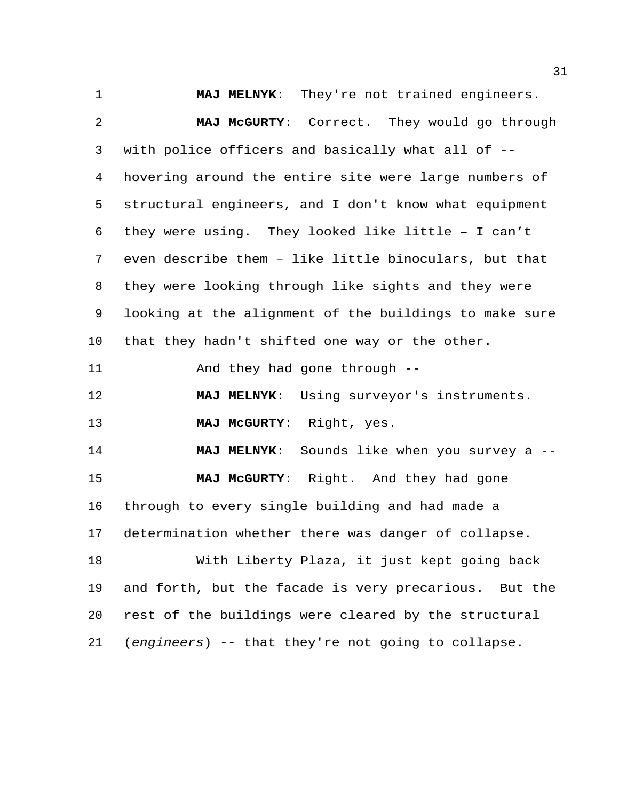**MAJ MELNYK**: They're not trained engineers. **MAJ McGURTY**: Correct. They would go through with police officers and basically what all of -- hovering around the entire site were large numbers of structural engineers, and I don't know what equipment they were using. They looked like little – I can't even describe them – like little binoculars, but that they were looking through like sights and they were looking at the alignment of the buildings to make sure that they hadn't shifted one way or the other. And they had gone through -- **MAJ MELNYK**: Using surveyor's instruments. **MAJ McGURTY**: Right, yes. **MAJ MELNYK**: Sounds like when you survey a -- **MAJ McGURTY**: Right. And they had gone through to every single building and had made a determination whether there was danger of collapse. With Liberty Plaza, it just kept going back and forth, but the facade is very precarious. But the rest of the buildings were cleared by the structural (*engineers*) -- that they're not going to collapse.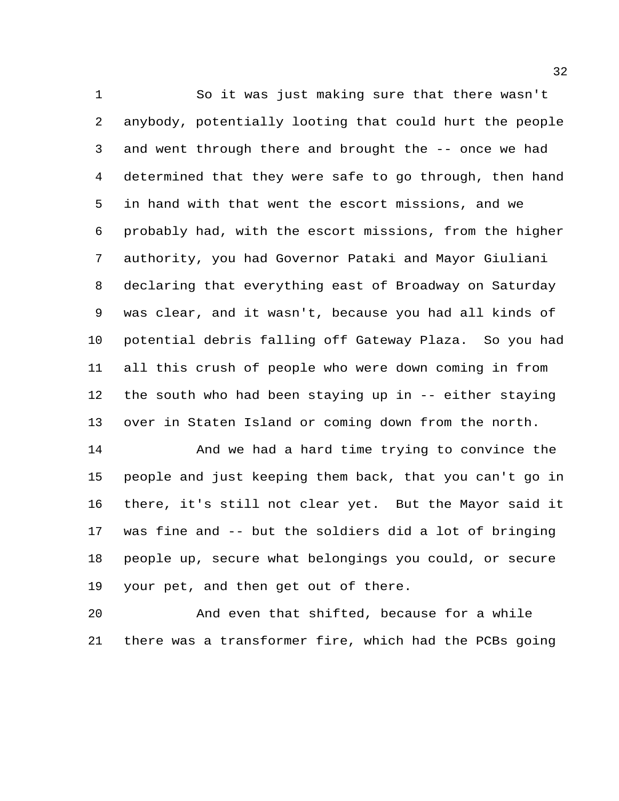So it was just making sure that there wasn't anybody, potentially looting that could hurt the people and went through there and brought the -- once we had determined that they were safe to go through, then hand in hand with that went the escort missions, and we probably had, with the escort missions, from the higher authority, you had Governor Pataki and Mayor Giuliani declaring that everything east of Broadway on Saturday was clear, and it wasn't, because you had all kinds of potential debris falling off Gateway Plaza. So you had all this crush of people who were down coming in from the south who had been staying up in -- either staying over in Staten Island or coming down from the north.

 And we had a hard time trying to convince the people and just keeping them back, that you can't go in there, it's still not clear yet. But the Mayor said it was fine and -- but the soldiers did a lot of bringing people up, secure what belongings you could, or secure your pet, and then get out of there.

 And even that shifted, because for a while there was a transformer fire, which had the PCBs going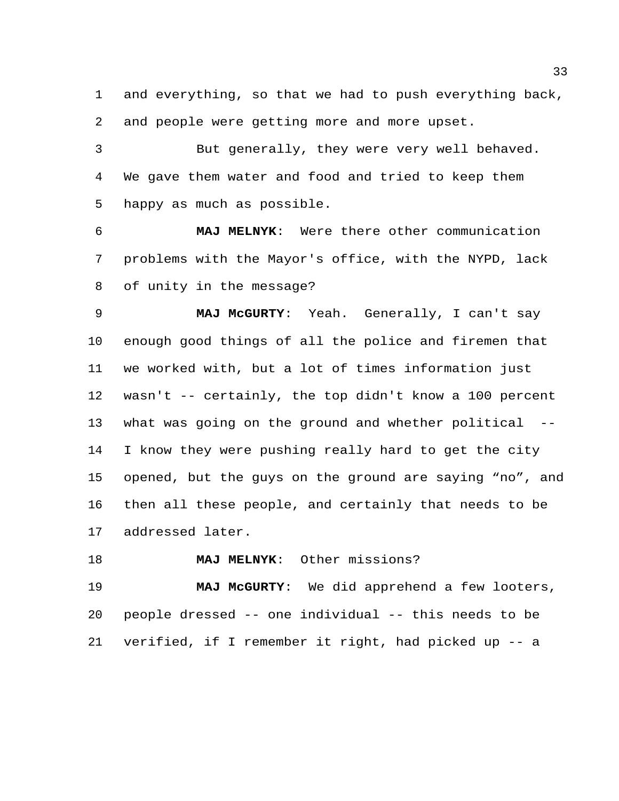and everything, so that we had to push everything back, and people were getting more and more upset.

 But generally, they were very well behaved. We gave them water and food and tried to keep them happy as much as possible.

 **MAJ MELNYK**: Were there other communication problems with the Mayor's office, with the NYPD, lack of unity in the message?

 **MAJ McGURTY**: Yeah. Generally, I can't say enough good things of all the police and firemen that we worked with, but a lot of times information just wasn't -- certainly, the top didn't know a 100 percent what was going on the ground and whether political -- I know they were pushing really hard to get the city opened, but the guys on the ground are saying "no", and then all these people, and certainly that needs to be addressed later.

**MAJ MELNYK**: Other missions?

 **MAJ McGURTY**: We did apprehend a few looters, people dressed -- one individual -- this needs to be verified, if I remember it right, had picked up -- a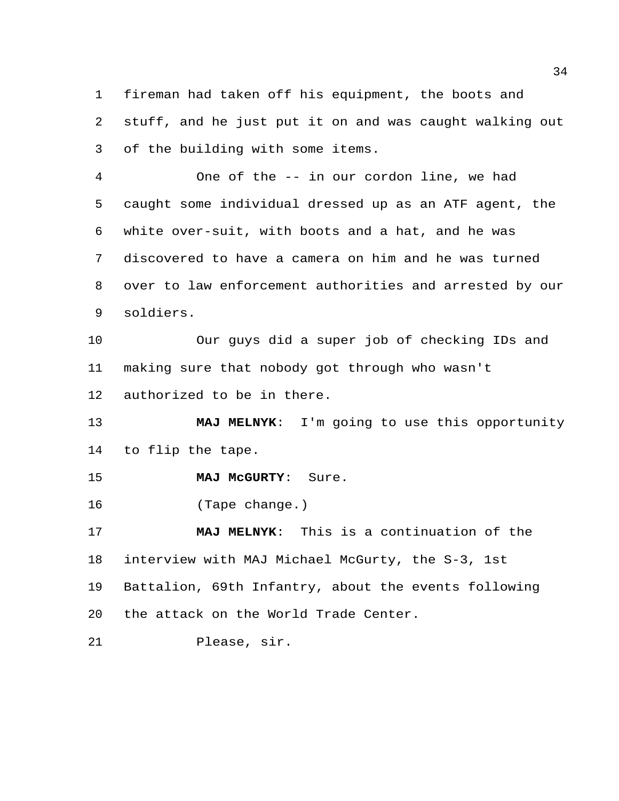fireman had taken off his equipment, the boots and stuff, and he just put it on and was caught walking out of the building with some items.

 One of the -- in our cordon line, we had caught some individual dressed up as an ATF agent, the white over-suit, with boots and a hat, and he was discovered to have a camera on him and he was turned over to law enforcement authorities and arrested by our soldiers.

 Our guys did a super job of checking IDs and making sure that nobody got through who wasn't authorized to be in there.

 **MAJ MELNYK**: I'm going to use this opportunity to flip the tape.

**MAJ McGURTY**: Sure.

(Tape change.)

 **MAJ MELNYK**: This is a continuation of the interview with MAJ Michael McGurty, the S-3, 1st Battalion, 69th Infantry, about the events following the attack on the World Trade Center.

Please, sir.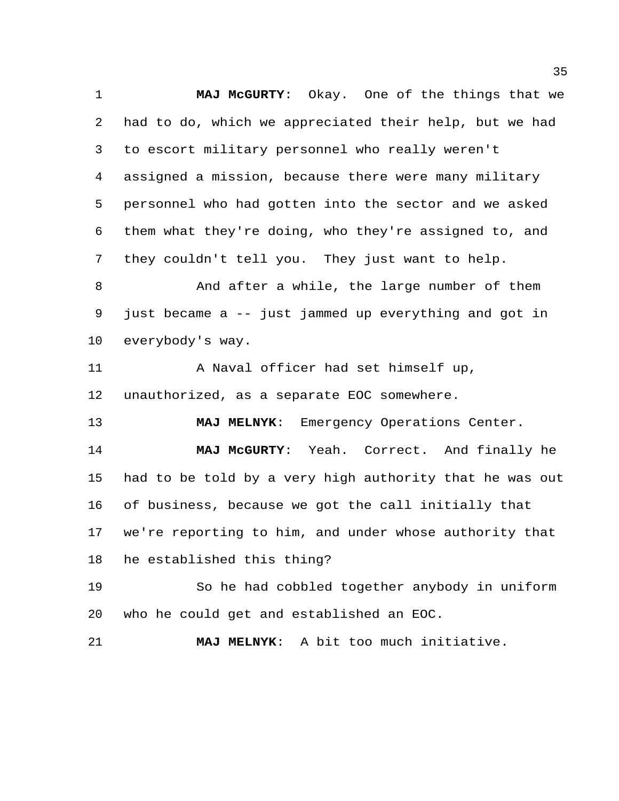**MAJ McGURTY**: Okay. One of the things that we had to do, which we appreciated their help, but we had to escort military personnel who really weren't assigned a mission, because there were many military personnel who had gotten into the sector and we asked them what they're doing, who they're assigned to, and they couldn't tell you. They just want to help. 8 And after a while, the large number of them just became a -- just jammed up everything and got in everybody's way. A Naval officer had set himself up, unauthorized, as a separate EOC somewhere. **MAJ MELNYK**: Emergency Operations Center. **MAJ McGURTY**: Yeah. Correct. And finally he had to be told by a very high authority that he was out of business, because we got the call initially that we're reporting to him, and under whose authority that he established this thing? So he had cobbled together anybody in uniform who he could get and established an EOC. **MAJ MELNYK**: A bit too much initiative.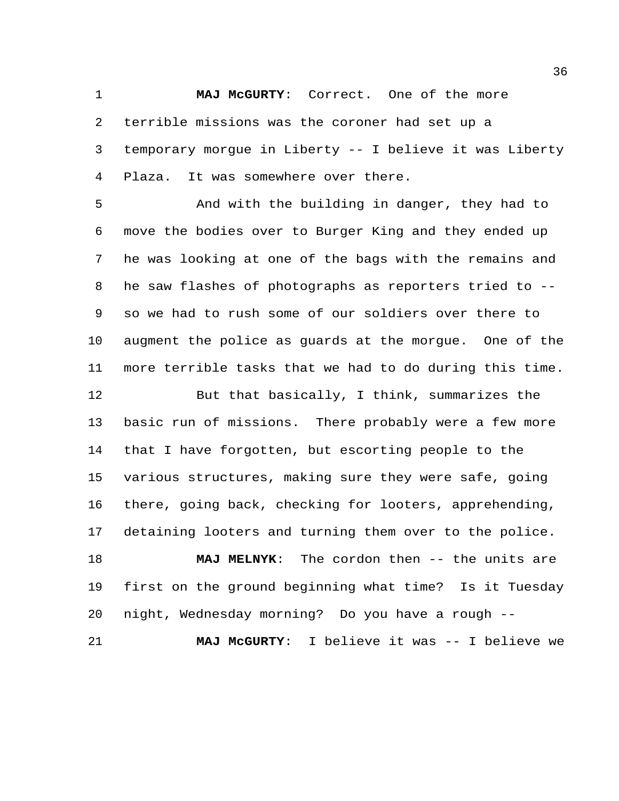**MAJ McGURTY**: Correct. One of the more terrible missions was the coroner had set up a temporary morgue in Liberty -- I believe it was Liberty Plaza. It was somewhere over there.

 And with the building in danger, they had to move the bodies over to Burger King and they ended up he was looking at one of the bags with the remains and he saw flashes of photographs as reporters tried to -- so we had to rush some of our soldiers over there to augment the police as guards at the morgue. One of the more terrible tasks that we had to do during this time.

 But that basically, I think, summarizes the basic run of missions. There probably were a few more that I have forgotten, but escorting people to the various structures, making sure they were safe, going there, going back, checking for looters, apprehending, detaining looters and turning them over to the police.

 **MAJ MELNYK**: The cordon then -- the units are first on the ground beginning what time? Is it Tuesday night, Wednesday morning? Do you have a rough --

**MAJ McGURTY**: I believe it was -- I believe we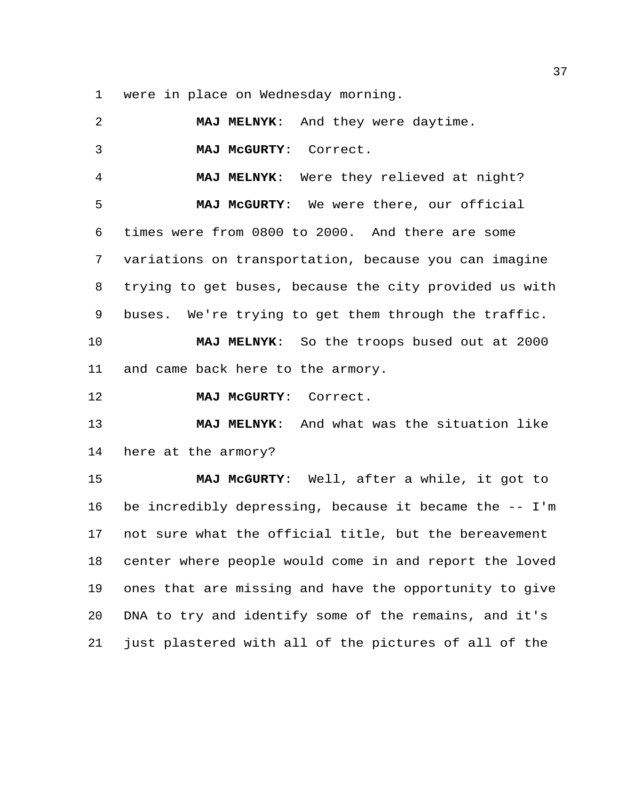were in place on Wednesday morning.

 **MAJ MELNYK**: And they were daytime. **MAJ McGURTY**: Correct. **MAJ MELNYK**: Were they relieved at night? **MAJ McGURTY**: We were there, our official times were from 0800 to 2000. And there are some variations on transportation, because you can imagine trying to get buses, because the city provided us with buses. We're trying to get them through the traffic. **MAJ MELNYK**: So the troops bused out at 2000 and came back here to the armory. **MAJ McGURTY**: Correct. **MAJ MELNYK**: And what was the situation like here at the armory? **MAJ McGURTY**: Well, after a while, it got to be incredibly depressing, because it became the -- I'm not sure what the official title, but the bereavement center where people would come in and report the loved ones that are missing and have the opportunity to give DNA to try and identify some of the remains, and it's just plastered with all of the pictures of all of the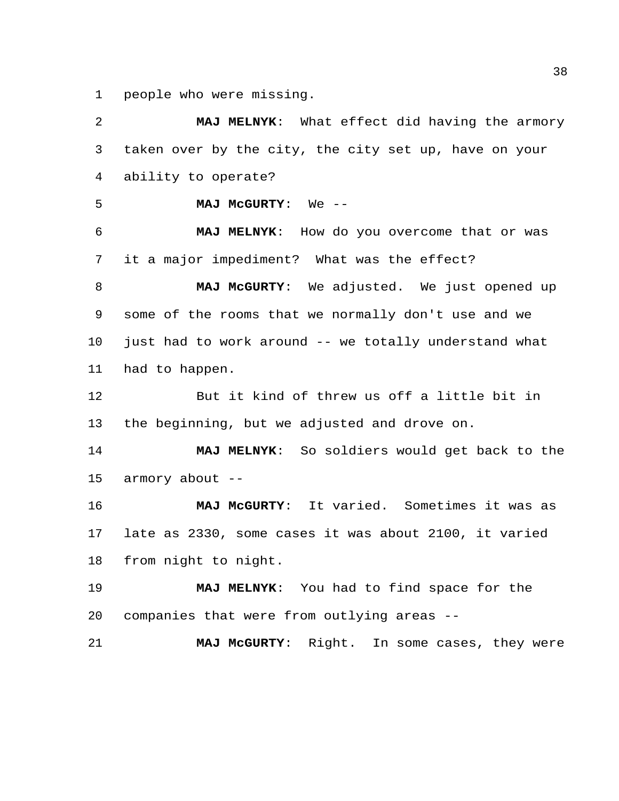people who were missing.

 **MAJ MELNYK**: What effect did having the armory taken over by the city, the city set up, have on your ability to operate? **MAJ McGURTY**: We -- **MAJ MELNYK**: How do you overcome that or was it a major impediment? What was the effect? **MAJ McGURTY**: We adjusted. We just opened up some of the rooms that we normally don't use and we just had to work around -- we totally understand what had to happen. But it kind of threw us off a little bit in the beginning, but we adjusted and drove on. **MAJ MELNYK**: So soldiers would get back to the armory about -- **MAJ McGURTY**: It varied. Sometimes it was as late as 2330, some cases it was about 2100, it varied from night to night. **MAJ MELNYK**: You had to find space for the companies that were from outlying areas -- **MAJ McGURTY**: Right. In some cases, they were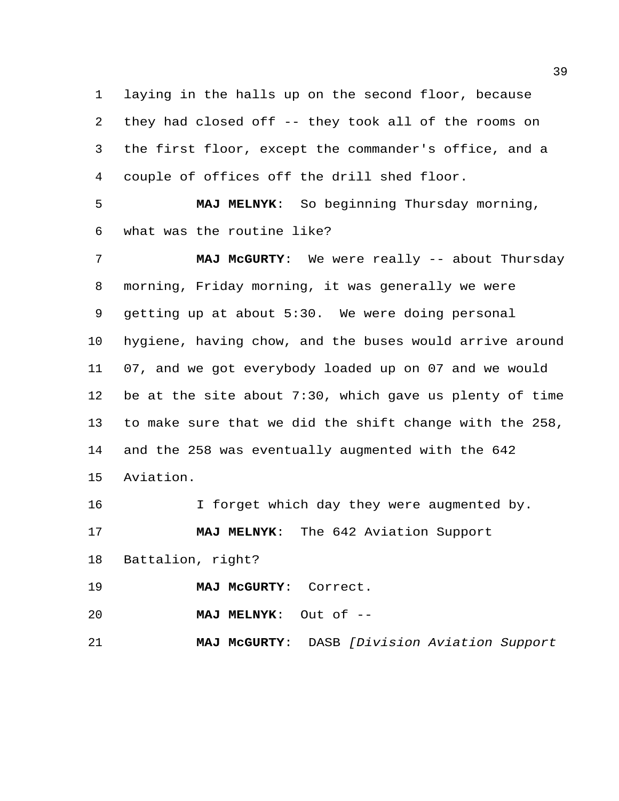laying in the halls up on the second floor, because they had closed off -- they took all of the rooms on the first floor, except the commander's office, and a couple of offices off the drill shed floor.

 **MAJ MELNYK**: So beginning Thursday morning, what was the routine like?

 **MAJ McGURTY**: We were really -- about Thursday morning, Friday morning, it was generally we were getting up at about 5:30. We were doing personal hygiene, having chow, and the buses would arrive around 07, and we got everybody loaded up on 07 and we would be at the site about 7:30, which gave us plenty of time to make sure that we did the shift change with the 258, and the 258 was eventually augmented with the 642 Aviation.

16 I forget which day they were augmented by. **MAJ MELNYK**: The 642 Aviation Support Battalion, right? **MAJ McGURTY**: Correct. **MAJ MELNYK**: Out of --

**MAJ McGURTY**: DASB *[Division Aviation Support*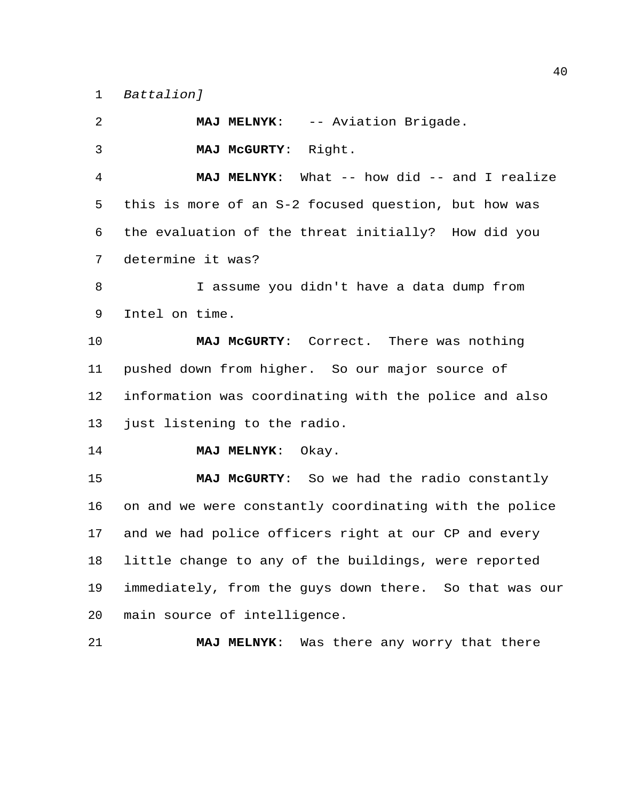*Battalion]*

 **MAJ MELNYK**: -- Aviation Brigade. **MAJ McGURTY**: Right. **MAJ MELNYK**: What -- how did -- and I realize this is more of an S-2 focused question, but how was the evaluation of the threat initially? How did you determine it was? I assume you didn't have a data dump from Intel on time. **MAJ McGURTY**: Correct. There was nothing pushed down from higher. So our major source of information was coordinating with the police and also just listening to the radio. **MAJ MELNYK**: Okay. **MAJ McGURTY**: So we had the radio constantly on and we were constantly coordinating with the police and we had police officers right at our CP and every little change to any of the buildings, were reported immediately, from the guys down there. So that was our main source of intelligence. **MAJ MELNYK**: Was there any worry that there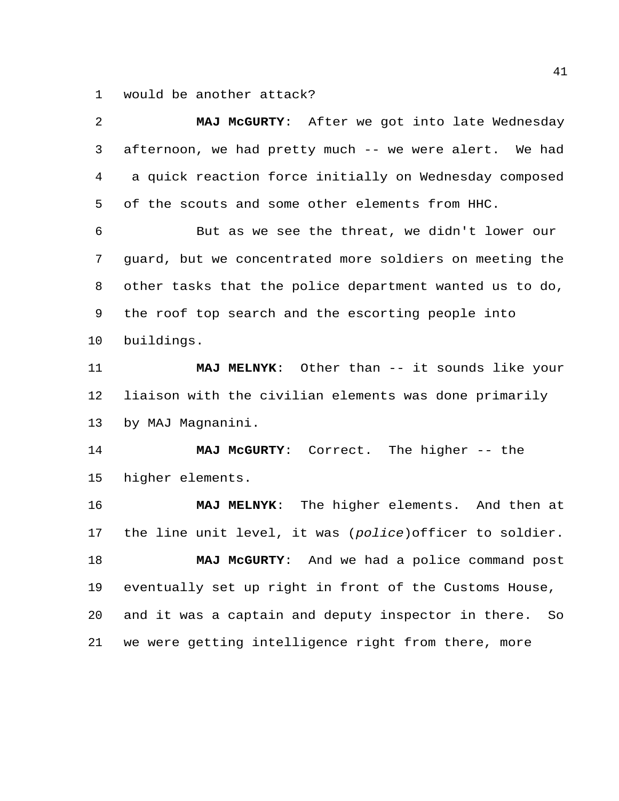would be another attack?

| 2  | MAJ McGURTY: After we got into late Wednesday             |
|----|-----------------------------------------------------------|
| 3  | afternoon, we had pretty much -- we were alert. We had    |
| 4  | a quick reaction force initially on Wednesday composed    |
| 5  | of the scouts and some other elements from HHC.           |
| 6  | But as we see the threat, we didn't lower our             |
| 7  | guard, but we concentrated more soldiers on meeting the   |
| 8  | other tasks that the police department wanted us to do,   |
| 9  | the roof top search and the escorting people into         |
| 10 | buildings.                                                |
| 11 | MAJ MELNYK: Other than -- it sounds like your             |
| 12 | liaison with the civilian elements was done primarily     |
| 13 | by MAJ Magnanini.                                         |
| 14 | MAJ McGURTY: Correct. The higher -- the                   |
| 15 | higher elements.                                          |
| 16 | MAJ MELNYK: The higher elements. And then at              |
| 17 | the line unit level, it was (police) officer to soldier.  |
| 18 | MAJ McGURTY: And we had a police command post             |
| 19 | eventually set up right in front of the Customs House,    |
| 20 | and it was a captain and deputy inspector in there.<br>So |
| 21 | we were getting intelligence right from there, more       |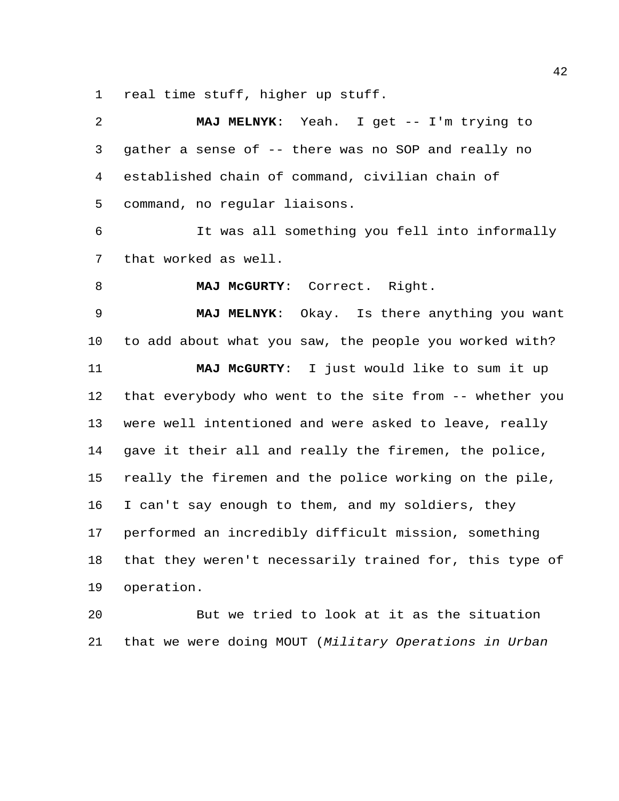real time stuff, higher up stuff.

| 2           | MAJ MELNYK: Yeah. I get -- I'm trying to                |
|-------------|---------------------------------------------------------|
| 3           | gather a sense of -- there was no SOP and really no     |
| 4           | established chain of command, civilian chain of         |
| 5           | command, no regular liaisons.                           |
| 6           | It was all something you fell into informally           |
| 7           | that worked as well.                                    |
| 8           | MAJ McGURTY: Correct. Right.                            |
| $\mathsf 9$ | MAJ MELNYK: Okay. Is there anything you want            |
| 10          | to add about what you saw, the people you worked with?  |
| 11          | MAJ MCGURTY: I just would like to sum it up             |
| 12          | that everybody who went to the site from -- whether you |
| 13          | were well intentioned and were asked to leave, really   |
| 14          | gave it their all and really the firemen, the police,   |
| 15          | really the firemen and the police working on the pile,  |
| 16          | I can't say enough to them, and my soldiers, they       |
| 17          | performed an incredibly difficult mission, something    |
| 18          | that they weren't necessarily trained for, this type of |
| 19          | operation.                                              |
| 20          | But we tried to look at it as the situation             |
| 21          | that we were doing MOUT (Military Operations in Urban   |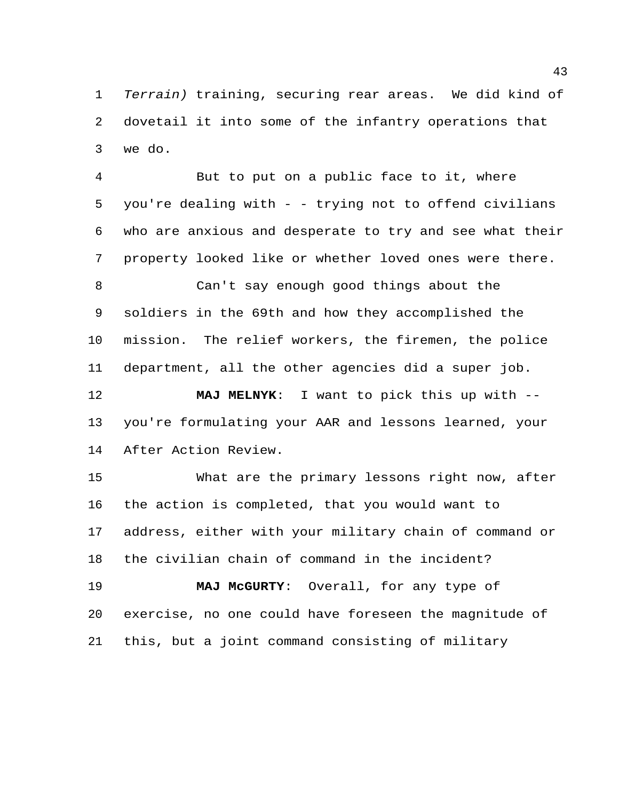*Terrain)* training, securing rear areas. We did kind of dovetail it into some of the infantry operations that we do.

 But to put on a public face to it, where you're dealing with - - trying not to offend civilians who are anxious and desperate to try and see what their property looked like or whether loved ones were there.

 Can't say enough good things about the soldiers in the 69th and how they accomplished the mission. The relief workers, the firemen, the police department, all the other agencies did a super job.

 **MAJ MELNYK**: I want to pick this up with -- you're formulating your AAR and lessons learned, your After Action Review.

 What are the primary lessons right now, after the action is completed, that you would want to address, either with your military chain of command or the civilian chain of command in the incident? **MAJ McGURTY**: Overall, for any type of exercise, no one could have foreseen the magnitude of

this, but a joint command consisting of military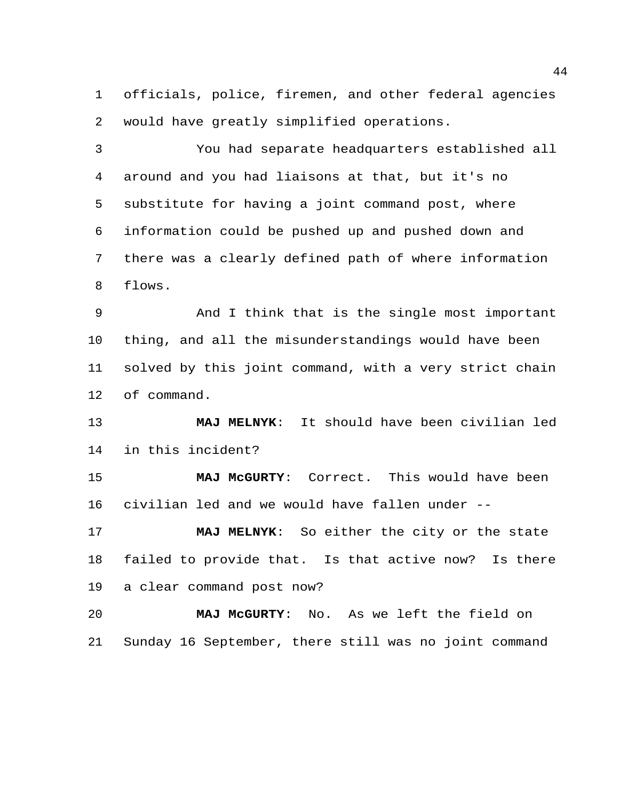officials, police, firemen, and other federal agencies would have greatly simplified operations.

 You had separate headquarters established all around and you had liaisons at that, but it's no substitute for having a joint command post, where information could be pushed up and pushed down and there was a clearly defined path of where information flows.

 And I think that is the single most important thing, and all the misunderstandings would have been solved by this joint command, with a very strict chain of command.

 **MAJ MELNYK**: It should have been civilian led in this incident?

 **MAJ McGURTY**: Correct. This would have been civilian led and we would have fallen under --

 **MAJ MELNYK**: So either the city or the state failed to provide that. Is that active now? Is there a clear command post now?

 **MAJ McGURTY**: No. As we left the field on Sunday 16 September, there still was no joint command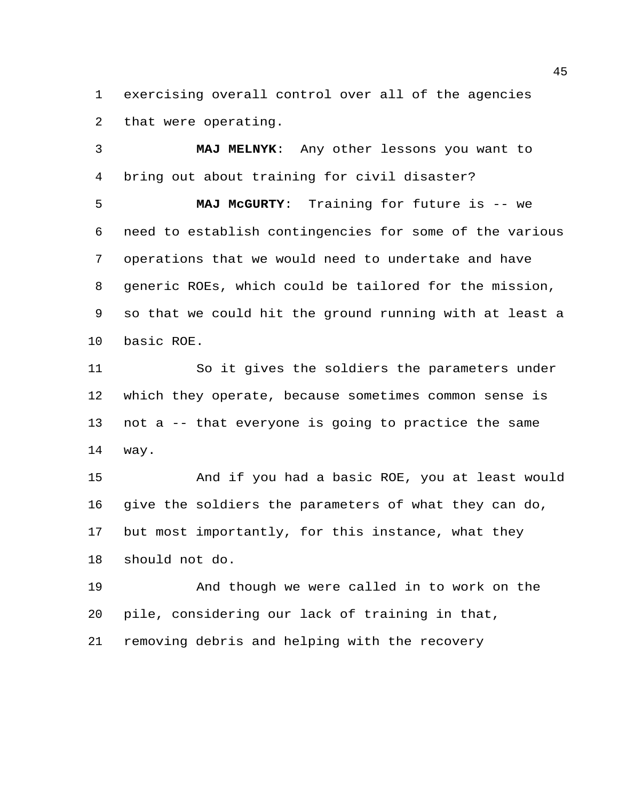exercising overall control over all of the agencies that were operating.

 **MAJ MELNYK**: Any other lessons you want to bring out about training for civil disaster?

 **MAJ McGURTY**: Training for future is -- we need to establish contingencies for some of the various operations that we would need to undertake and have generic ROEs, which could be tailored for the mission, so that we could hit the ground running with at least a basic ROE.

 So it gives the soldiers the parameters under which they operate, because sometimes common sense is not a -- that everyone is going to practice the same way.

 And if you had a basic ROE, you at least would give the soldiers the parameters of what they can do, but most importantly, for this instance, what they should not do.

 And though we were called in to work on the pile, considering our lack of training in that, removing debris and helping with the recovery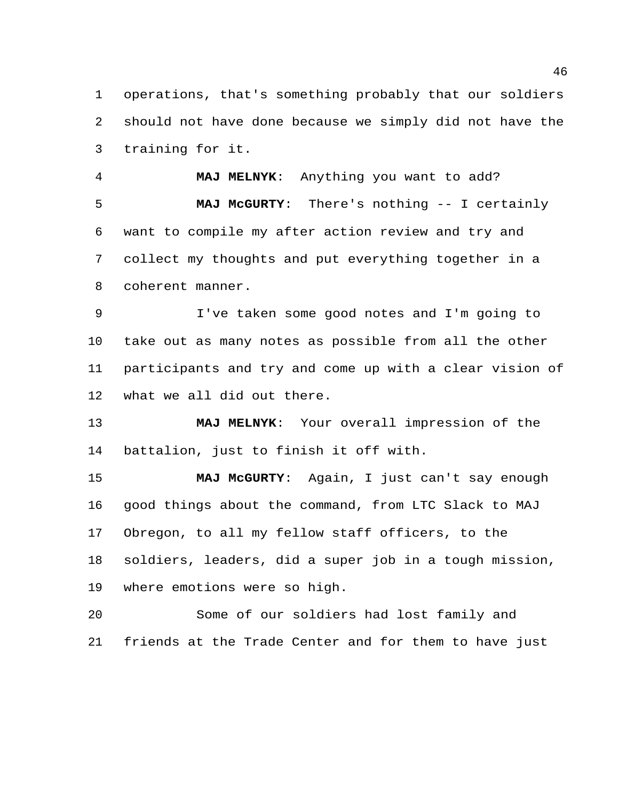operations, that's something probably that our soldiers should not have done because we simply did not have the training for it.

 **MAJ MELNYK**: Anything you want to add? **MAJ McGURTY**: There's nothing -- I certainly want to compile my after action review and try and collect my thoughts and put everything together in a coherent manner.

 I've taken some good notes and I'm going to take out as many notes as possible from all the other participants and try and come up with a clear vision of what we all did out there.

 **MAJ MELNYK**: Your overall impression of the battalion, just to finish it off with.

 **MAJ McGURTY**: Again, I just can't say enough good things about the command, from LTC Slack to MAJ Obregon, to all my fellow staff officers, to the soldiers, leaders, did a super job in a tough mission, where emotions were so high.

 Some of our soldiers had lost family and friends at the Trade Center and for them to have just